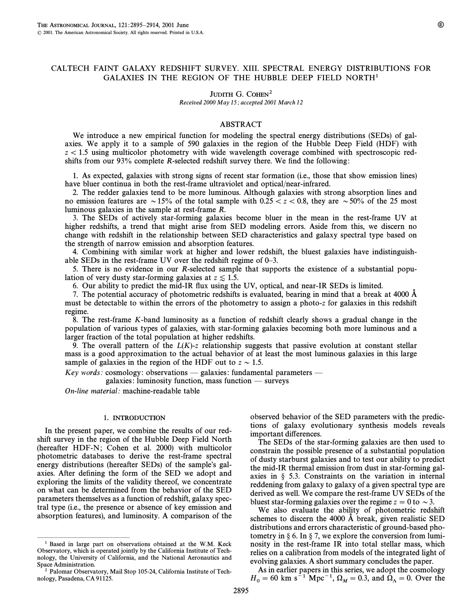# CALTECH FAINT GALAXY REDSHIFT SURVEY. XIII. SPECTRAL ENERGY DISTRIBUTIONS FOR GALAXIES IN THE REGION OF THE HUBBLE DEEP FIELD NORTH1

# JUDITH G. COHEN<sup>2</sup>

Received 2000 May 15; accepted 2001 March 12

### ABSTRACT

We introduce a new empirical function for modeling the spectral energy distributions (SEDs) of galaxies. We apply it to a sample of 590 galaxies in the region of the Hubble Deep Field (HDF) with  $z\,$  1.5 using multicolor photometry with wide wavelength coverage combined with spectroscopic redshifts from our  $93\%$  complete R-selected redshift survey there. We find the following:

1. As expected, galaxies with strong signs of recent star formation (i.e., those that show emission lines) have bluer continua in both the rest-frame ultraviolet and optical/near-infrared.

2. The redder galaxies tend to be more luminous. Although galaxies with strong absorption lines and no emission features are  $\sim$  15% of the total sample with 0.25  $\lt$  z $\lt$  0.8, they are  $\sim$  50% of the 25 most luminous galaxies in the sample at rest-frame R.

3. The SEDs of actively star-forming galaxies become bluer in the mean in the rest-frame UV at higher redshifts, a trend that might arise from SED modeling errors. Aside from this, we discern no change with redshift in the relationship between SED characteristics and galaxy spectral type based on the strength of narrow emission and absorption features.

4. Combining with similar work at higher and lower redshift, the bluest galaxies have indistinguishable SEDs in the rest-frame UV over the redshift regime of  $0-3$ .

5. There is no evidence in our R-selected sample that supports the existence of a substantial population of very dusty star-forming galaxies at  $z \lesssim 1.5$ .

6. Our ability to predict the mid-IR Ñux using the UV, optical, and near-IR SEDs is limited.

7. The potential accuracy of photometric redshifts is evaluated, bearing in mind that a break at 4000 A must be detectable to within the errors of the photometry to assign a photo-z for galaxies in this redshift regime.

8. The rest-frame K-band luminosity as a function of redshift clearly shows a gradual change in the population of various types of galaxies, with star-forming galaxies becoming both more luminous and a larger fraction of the total population at higher redshifts.

9. The overall pattern of the  $L(K)$ -z relationship suggests that passive evolution at constant stellar mass is a good approximation to the actual behavior of at least the most luminous galaxies in this large sample of galaxies in the region of the HDF out to  $z \sim 1.5$ .

Key words: cosmology: observations  $-$  galaxies: fundamental parameters  $-$ 

galaxies: luminosity function, mass function  $\equiv$  surveys

On-line material: machine-readable table

## 1. INTRODUCTION

In the present paper, we combine the results of our redshift survey in the region of the Hubble Deep Field North (hereafter HDF-N; Cohen et al. 2000) with multicolor photometric databases to derive the rest-frame spectral energy distributions (hereafter SEDs) of the sample's galaxies. After defining the form of the SED we adopt and exploring the limits of the validity thereof, we concentrate on what can be determined from the behavior of the SED parameters themselves as a function of redshift, galaxy spectral type (i.e., the presence or absence of key emission and absorption features), and luminosity. A comparison of the

ÈÈÈÈÈÈÈÈÈÈÈÈÈÈÈ

observed behavior of the SED parameters with the predictions of galaxy evolutionary synthesis models reveals important differences.

The SEDs of the star-forming galaxies are then used to constrain the possible presence of a substantial population of dusty starburst galaxies and to test our ability to predict the mid-IR thermal emission from dust in star-forming galaxies in  $\S$  5.3. Constraints on the variation in internal reddening from galaxy to galaxy of a given spectral type are derived as well. We compare the rest-frame UV SEDs of the bluest star-forming galaxies over the regime  $z=0$  to  $\sim$  3.

We also evaluate the ability of photometric redshift schemes to discern the 4000  $\AA$  break, given realistic SED distributions and errors characteristic of ground-based photometry in  $\S 6$ . In  $\S 7$ , we explore the conversion from luminosity in the rest-frame IR into total stellar mass, which relies on a calibration from models of the integrated light of evolving galaxies. A short summary concludes the paper.

As in earlier papers in this series, we adopt the cosmology  $H_0 = 60 \text{ km s}^{-1} \text{ Mpc}^{-1}$ ,  $\Omega_M = 0.3$ , and  $\Omega_{\Lambda} = 0$ . Over the

<sup>1</sup> Based in large part on observations obtained at the W.M. Keck Observatory, which is operated jointly by the California Institute of Technology, the University of California, and the National Aeronautics and Space Administration.

<sup>2</sup> Palomar Observatory, Mail Stop 105-24, California Institute of Technology, Pasadena, CA 91125.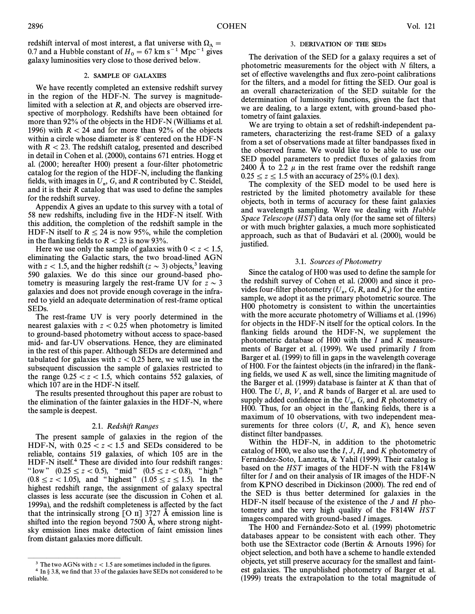redshift interval of most interest, a flat universe with  $\Omega_{\Lambda} =$ 0.7 and a Hubble constant of  $H_0 = 67$  km s<sup>-1</sup> Mpc<sup>-1</sup> gives galaxy luminosities very close to those derived below.

## 2. SAMPLE OF GALAXIES

We have recently completed an extensive redshift survey in the region of the HDF-N. The survey is magnitudelimited with a selection at R, and objects are observed irrespective of morphology. Redshifts have been obtained for more than 92% of the objects in the HDF-N (Williams et al. 1996) with  $R < 24$  and for more than 92% of the objects within a circle whose diameter is 8' centered on the HDF-N with  $R < 23$ . The redshift catalog, presented and described in detail in Cohen et al. (2000), contains 671 entries. Hogg et al. (2000; hereafter H00) present a four-filter photometric catalog for the region of the HDF-N, including the flanking fields, with images in  $U_n$ , G, and R contributed by C. Steidel, and it is their R catalog that was used to define the samples and it is their  *catalog that was used to define the samples* for the redshift survey.

Appendix A gives an update to this survey with a total of 58 new redshifts, including five in the HDF-N itself. With this addition, the completion of the redshift sample in the HDF-N itself to  $R \le 24$  is now 95%, while the completion in the flanking fields to  $R < 23$  is now 93%.

Here we use only the sample of galaxies with  $0 < z < 1.5$ , eliminating the Galactic stars, the two broad-lined AGN with  $z < 1.5$ , and the higher redshift ( $z \sim 3$ ) objects,<sup>3</sup> leaving 590 galaxies. We do this since our ground-based photometry is measuring largely the rest-frame UV for  $z \sim 3$ galaxies and does not provide enough coverage in the infrared to yield an adequate determination of rest-frame optical SEDs.

The rest-frame UV is very poorly determined in the nearest galaxies with  $z < 0.25$  when photometry is limited to ground-based photometry without access to space-based mid- and far-UV observations. Hence, they are eliminated in the rest of this paper. Although SEDs are determined and tabulated for galaxies with  $z < 0.25$  here, we will use in the subsequent discussion the sample of galaxies restricted to the range  $0.25 \, < z \, < 1.5$ , which contains 552 galaxies, of which 107 are in the HDF-N itself.

The results presented throughout this paper are robust to the elimination of the fainter galaxies in the HDF-N, where the sample is deepest.

### 2.1. Redshift Ranges

The present sample of galaxies in the region of the HDF-N, with  $0.25 \le z \le 1.5$  and SEDs considered to be reliable, contains 519 galaxies, of which 105 are in the HDF-N itself.<sup>4</sup> These are divided into four redshift ranges: " low"  $(0.25 \le z < 0.5)$ , "mid"  $(0.5 \le z < 0.8)$ , "high"  $(0.8 \le z \lt 1.05)$ , and "highest"  $(1.05 \le z \le 1.5)$ . In the highest redshift range, the assignment of galaxy spectral classes is less accurate (see the discussion in Cohen et al. 1999a), and the redshift completeness is a†ected by the fact that the intrinsically strong  $\lceil$  O II] 3727 Å emission line is shifted into the region beyond  $7500 \text{ Å}$ , where strong nightsky emission lines make detection of faint emission lines from distant galaxies more difficult.

#### 3. DERIVATION OF THE SEDs

The derivation of the SED for a galaxy requires a set of photometric measurements for the object with  $N$  filters, a set of effective wavelengths and flux zero-point calibrations for the filters, and a model for fitting the SED. Our goal is an overall characterization of the SED suitable for the determination of luminosity functions, given the fact that we are dealing, to a large extent, with ground-based photometry of faint galaxies.

We are trying to obtain a set of redshift-independent parameters, characterizing the rest-frame SED of a galaxy from a set of observations made at filter bandpasses fixed in the observed frame. We would like to be able to use our SED model parameters to predict Ñuxes of galaxies from 2400 Å to 2.2  $\mu$  in the rest frame over the redshift range  $0.25 \le z \le 1.5$  with an accuracy of 25% (0.1 dex).

The complexity of the SED model to be used here is restricted by the limited photometry available for these objects, both in terms of accuracy for these faint galaxies and wavelength sampling. Were we dealing with Hubble Space Telescope  $(HST)$  data only (for the same set of filters) or with much brighter galaxies, a much more sophisticated approach, such as that of Budavári et al. (2000), would be justified.

#### 3.1. Sources of Photometry

Since the catalog of H00 was used to define the sample for the redshift survey of Cohen et al. (2000) and since it provides four-filter photometry  $(U_n, G, R, \text{and } K_s)$  for the entire sample, we adopt it as the primary photometric source. The sample, we adopt it as the primary photometric source. The H00 photometry is consistent to within the uncertainties with the more accurate photometry of Williams et al. (1996) for objects in the HDF-N itself for the optical colors. In the flanking fields around the HDF-N, we supplement the photometric database of H00 with the I and K measurements of Barger et al. (1999). We used primarily I from Barger et al. (1999) to fill in gaps in the wavelength coverage of H00. For the faintest objects (in the infrared) in the flanking fields, we used  $K$  as well, since the limiting magnitude of the Barger et al. (1999) database is fainter at  $K$  than that of H00. The  $U$ ,  $B$ ,  $V$ , and  $R$  bands of Barger et al. are used to supply added confidence in the  $U_n$ , G, and R photometry of  $H_0$ . Thus, for an object in the flanking fields, there is a H00. Thus, for an object in the flanking fields, there is a maximum of 10 observations, with two independent measurements for three colors  $(U, R, and K)$ , hence seven distinct filter bandpasses.

Within the HDF-N, in addition to the photometric catalog of H00, we also use the  $I, J, H$ , and  $K$  photometry of Fernández-Soto, Lanzetta, & Yahil (1999). Their catalog is based on the HST images of the HDF-N with the F814W filter for  $I$  and on their analysis of IR images of the HDF-N from KPNO described in Dickinson (2000). The red end of the SED is thus better determined for galaxies in the HDF-N itself because of the existence of the  $J$  and  $H$  photometry and the very high quality of the F814W HST images compared with ground-based I images.

The H00 and Fernandez-Soto et al. (1999) photometric databases appear to be consistent with each other. They both use the SExtractor code (Bertin & Arnouts 1996) for object selection, and both have a scheme to handle extended objects, yet still preserve accuracy for the smallest and faintest galaxies. The unpublished photometry of Barger et al. (1999) treats the extrapolation to the total magnitude of

ÈÈÈÈÈÈÈÈÈÈÈÈÈÈÈ <sup>3</sup> The two AGNs with  $z < 1.5$  are sometimes included in the figures.

 $4$  In  $\S$  3.8, we find that 33 of the galaxies have SEDs not considered to be reliable.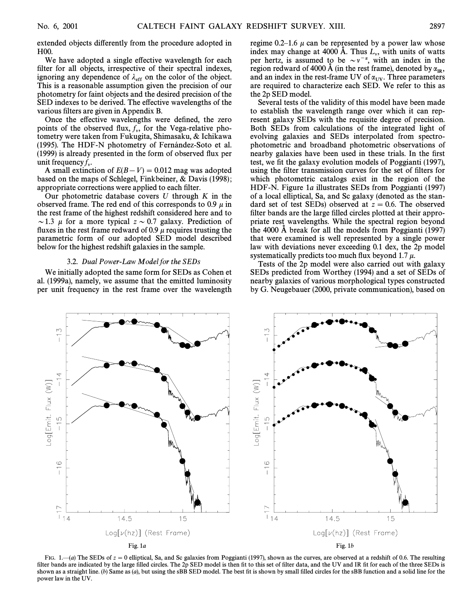extended objects differently from the procedure adopted in H00.

We have adopted a single effective wavelength for each filter for all objects, irrespective of their spectral indexes, ignoring any dependence of  $\lambda_{\text{eff}}$  on the color of the object. This is a reasonable assumption given the precision of our photometry for faint objects and the desired precision of the SED indexes to be derived. The effective wavelengths of the various filters are given in Appendix B.

Once the effective wavelengths were defined, the zero points of the observed flux,  $f_v$ , for the Vega-relative phol tometry were taken from Fukugita, Shimasaku, & Ichikawa (1995). The HDF-N photometry of Fernández-Soto et al. (1999) is already presented in the form of observed Ñux per unit frequency  $f_v$ .

A small extinction of  $E(B-V) = 0.012$  mag was adopted based on the maps of Schlegel, Finkbeiner, & Davis (1998); appropriate corrections were applied to each filter.

Our photometric database covers  $U$  through  $K$  in the observed frame. The red end of this corresponds to 0.9  $\mu$  in the rest frame of the highest redshift considered here and to  $\sim$  1.3  $\mu$  for a more typical  $z \sim 0.7$  galaxy. Prediction of fluxes in the rest frame redward of 0.9  $\mu$  requires trusting the parametric form of our adopted SED model described below for the highest redshift galaxies in the sample.

#### 3.2. Dual Power-Law Model for the SEDs

We initially adopted the same form for SEDs as Cohen et al. (1999a), namely, we assume that the emitted luminosity per unit frequency in the rest frame over the wavelength regime 0.2–1.6  $\mu$  can be represented by a power law whose index may change at 4000 Å. Thus  $L_v$ , with units of watts has been assumed to be  $\Delta v = \pi v$  with an index in the per hertz, is assumed to be  $\sim v^{-\alpha}$ , with an index in the region redward of 4000 Å (in the rest frame), denoted by  $\alpha_{IR}$ ,<br>and an index in the rest-frame LIV of  $\alpha$ . Three parameters and an index in the rest-frame UV of  $\alpha_{UV}$ . Three parameters are required to characterize each SED. We refer to this as are required to characterize each SED. We refer to this as the 2p SED model.

Several tests of the validity of this model have been made to establish the wavelength range over which it can represent galaxy SEDs with the requisite degree of precision. Both SEDs from calculations of the integrated light of evolving galaxies and SEDs interpolated from spectrophotometric and broadband photometric observations of nearby galaxies have been used in these trials. In the first test, we fit the galaxy evolution models of Poggianti (1997), using the filter transmission curves for the set of filters for which photometric catalogs exist in the region of the HDF-N. Figure 1a illustrates SEDs from Poggianti (1997) of a local elliptical, Sa, and Sc galaxy (denoted as the standard set of test SEDs) observed at  $z = 0.6$ . The observed filter bands are the large filled circles plotted at their appropriate rest wavelengths. While the spectral region beyond the 4000 A break for all the models from Poggianti  $(1997)$ that were examined is well represented by a single power law with deviations never exceeding 0.1 dex, the 2p model systematically predicts too much flux beyond 1.7  $\mu$ .

Tests of the 2p model were also carried out with galaxy SEDs predicted from Worthey (1994) and a set of SEDs of nearby galaxies of various morphological types constructed by G. Neugebauer (2000, private communication), based on



FIG. 1.—(a) The SEDs of  $z = 0$  elliptical, Sa, and Sc galaxies from Poggianti (1997), shown as the curves, are observed at a redshift of 0.6. The resulting filter bands are indicated by the large filled circles. The 2p SED model is then fit to this set of filter data, and the UV and IR fit for each of the three SEDs is shown as a straight line. (b) Same as  $(a)$ , but using the sBB SED model. The best fit is shown by small filled circles for the sBB function and a solid line for the power law in the UV.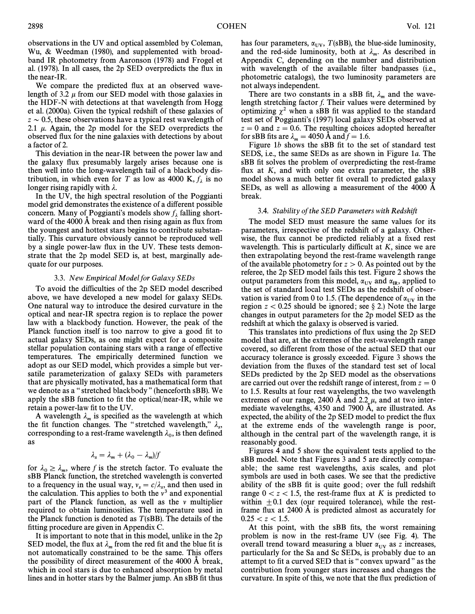observations in the UV and optical assembled by Coleman, Wu, & Weedman (1980), and supplemented with broadband IR photometry from Aaronson (1978) and Frogel et al. (1978). In all cases, the 2p SED overpredicts the Ñux in the near-IR.

We compare the predicted flux at an observed wavelength of 3.2  $\mu$  from our SED model with those galaxies in the HDF-N with detections at that wavelength from Hogg et al. (2000a). Given the typical redshift of these galaxies of  $z \sim 0.5$ , these observations have a typical rest wavelength of 2.1  $\mu$ . Again, the 2p model for the SED overpredicts the observed Ñux for the nine galaxies with detections by about a factor of 2.

This deviation in the near-IR between the power law and the galaxy flux presumably largely arises because one is then well into the long-wavelength tail of a blackbody distribution, in which even for T as low as 4000 K,  $f_{\lambda}$  is no longer rising rapidly with  $\lambda$ .

In the UV, the high spectral resolution of the Poggianti model grid demonstrates the existence of a different possible concern. Many of Poggianti's models show  $f_{\lambda}$  falling shortward of the 4000  $\AA$  break and then rising again as flux from the youngest and hottest stars begins to contribute substantially. This curvature obviously cannot be reproduced well by a single power-law flux in the UV. These tests demonstrate that the 2p model SED is, at best, marginally adequate for our purposes.

#### 3.3. New Empirical Model for Galaxy SEDs

To avoid the difficulties of the 2p SED model described above, we have developed a new model for galaxy SEDs. One natural way to introduce the desired curvature in the optical and near-IR spectra region is to replace the power law with a blackbody function. However, the peak of the Planck function itself is too narrow to give a good fit to actual galaxy SEDs, as one might expect for a composite stellar population containing stars with a range of effective temperatures. The empirically determined function we adopt as our SED model, which provides a simple but versatile parameterization of galaxy SEDs with parameters that are physically motivated, has a mathematical form that we denote as a "stretched blackbody" (henceforth sBB). We apply the  $sBB$  function to fit the optical/near-IR, while we retain a power-law fit to the UV.

A wavelength  $\lambda_m$  is specified as the wavelength at which the fit function changes. The "stretched wavelength,"  $\lambda_s$ , corresponding to a rest-frame wavelength  $\lambda_0$ , is then defined as as

$$
\lambda_s = \lambda_m + (\lambda_0 - \lambda_m)/f
$$

for  $\lambda_0 \ge \lambda_m$ , where f is the stretch factor. To evaluate the  $\beta_{\text{BR}}$  Planck function the stretched wavelength is converted  $m_0 \geq m_m$ , where f is the stretch latter. To evaluate the sBB Planck function, the stretched wavelength is converted to a frequency in the usual way,  $v_s = c/\lambda_s$ , and then used in the calculation. This applies to both the  $v^3$  and exponential part of the Planck function, as well as the  $\nu$  multiplier required to obtain luminosities. The temperature used in the Planck function is denoted as  $T(sBB)$ . The details of the fitting procedure are given in Appendix C.

It is important to note that in this model, unlike in the 2p SED model, the flux at  $\lambda_m$  from the red fit and the blue fit is not automatically constrained to be the same. This offers the possibility of direct measurement of the  $4000 \text{ Å}$  break, which in cool stars is due to enhanced absorption by metal lines and in hotter stars by the Balmer jump. An sBB fit thus

has four parameters,  $\alpha_{UV}$ ,  $T(sBB)$ , the blue-side luminosity, and the red-side luminosity, both at  $\lambda_m$ . As described in Appendix C, depending on the number and distribution with wavelength of the available filter bandpasses (i.e., photometric catalogs), the two luminosity parameters are not always independent.

There are two constants in a sBB fit,  $\lambda_m$  and the wavelength stretching factor  $f$ . Their values were determined by optimizing  $\chi^2$  when a sBB fit was applied to the standard test set of Poggianti's (1997) local galaxy SEDs observed at  $z=0$  and  $z=0.6$ . The resulting choices adopted hereafter for sBB fits are  $\lambda_m = 4050$  Å and  $f = 1.6$ .

Figure 1b shows the sBB fit to the set of standard test SEDS, i.e., the same SEDs as are shown in Figure 1a. The sBB fit solves the problem of overpredicting the rest-frame flux at  $K$ , and with only one extra parameter, the  $sBB$ model shows a much better fit overall to predicted galaxy SEDs, as well as allowing a measurement of the 4000 A break.

### 3.4. Stability of the SED Parameters with Redshift

The model SED must measure the same values for its parameters, irrespective of the redshift of a galaxy. Otherwise, the flux cannot be predicted reliably at a fixed rest wavelength. This is particularly difficult at K, since we are then extrapolating beyond the rest-frame wavelength range of the available photometry for  $z > 0$ . As pointed out by the referee, the 2p SED model fails this test. Figure 2 shows the output parameters from this model,  $\alpha_{UV}$  and  $\alpha_{IR}$ , applied to the set of standard local test SEDs as the redshift of obserthe set of standard local test SEDs as the redshift of observation is varied from 0 to 1.5. (The dependence of  $\alpha_{\text{UV}}$  in the region  $z < 0.25$  should be ignored; see § 2.) Note the large changes in output parameters for the 2p model SED as the redshift at which the galaxy is observed is varied.

This translates into predictions of flux using the 2p SED model that are, at the extremes of the rest-wavelength range covered, so di†erent from those of the actual SED that our accuracy tolerance is grossly exceeded. Figure 3 shows the deviation from the fluxes of the standard test set of local SEDs predicted by the 2p SED model as the observations are carried out over the redshift range of interest, from  $z=0$ to 1.5. Results at four rest wavelengths, the two wavelength extremes of our range, 2400 Å and 2.2  $\mu$ , and at two intermediate wavelengths, 4350 and 7900 Å, are illustrated. As expected, the ability of the 2p SED model to predict the flux at the extreme ends of the wavelength range is poor, although in the central part of the wavelength range, it is reasonably good.

Figures 4 and 5 show the equivalent tests applied to the sBB model. Note that Figures 3 and 5 are directly comparable; the same rest wavelengths, axis scales, and plot symbols are used in both cases. We see that the predictive ability of the sBB fit is quite good; over the full redshift range  $0 \lt z \lt 1.5$ , the rest-frame flux at K is predicted to within  $\pm 0.1$  dex (our required tolerance), while the restframe flux at  $2400 \text{ Å}$  is predicted almost as accurately for  $0.25 < z < 1.5$ .

At this point, with the sBB fits, the worst remaining problem is now in the rest-frame UV (see Fig. 4). The overall trend toward measuring a bluer  $\alpha_{\text{UV}}$  as z increases, particularly for the Sa and Sc SEDs, is probably due to an attempt to fit a curved SED that is "convex upward" as the contribution from younger stars increases and changes the curvature. In spite of this, we note that the Ñux prediction of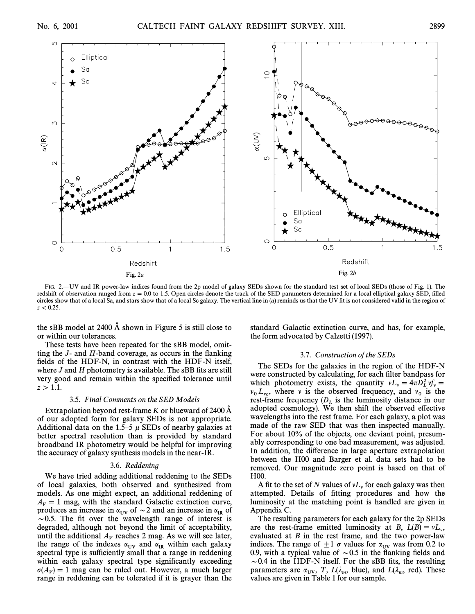

FIG. 2—UV and IR power-law indices found from the 2p model of galaxy SEDs shown for the standard test set of local SEDs (those of Fig. 1). The redshift of observation ranged from  $z = 0.0$  to 1.5. Open circles denote the track of the SED parameters determined for a local elliptical galaxy SED, filled circles show that of a local Sa, and stars show that of a local Sc galaxy. The vertical line in  $(a)$  reminds us that the UV fit is not considered valid in the region of  $z < 0.25$ .

the sBB model at  $2400 \text{ Å}$  shown in Figure 5 is still close to or within our tolerances.

These tests have been repeated for the sBB model, omitting the  $J$ - and  $H$ -band coverage, as occurs in the flanking fields of the HDF-N, in contrast with the HDF-N itself, where  $J$  and  $H$  photometry is available. The sBB fits are still very good and remain within the specified tolerance until  $z > 1.1.$ 

### 3.5. Final Comments on the SED Models

Extrapolation beyond rest-frame K or blueward of 2400  $\AA$ of our adopted form for galaxy SEDs is not appropriate. Additional data on the 1.5–5  $\mu$  SEDs of nearby galaxies at better spectral resolution than is provided by standard broadband IR photometry would be helpful for improving the accuracy of galaxy synthesis models in the near-IR.

### 3.6. Reddening

We have tried adding additional reddening to the SEDs of local galaxies, both observed and synthesized from models. As one might expect, an additional reddening of  $A_V = 1$  mag, with the standard Galactic extinction curve, produces an increase in  $\alpha_{UV}$  of  $\sim$  2 and an increase in  $\alpha_{IR}$  of  $\sim$  0.5. The fit over the wavelength range of interest is degraded, although not beyond the limit of acceptability, until the additional  $A_V$  reaches 2 mag. As we will see later, the range of the indexes  $\alpha_{UV}$  and  $\alpha_{IR}$  within each galaxy spectral type is sufficiently small that a range in reddening within each galaxy spectral type significantly exceeding  $\sigma(A_V) = 1$  mag can be ruled out. However, a much larger<br>range in reddening can be tolerated if it is graver than the range in reddening can be tolerated if it is grayer than the

standard Galactic extinction curve, and has, for example, the form advocated by Calzetti (1997).

#### 3.7. Construction of the SEDs

The SEDs for the galaxies in the region of the HDF-N were constructed by calculating, for each filter bandpass for which photometry exists, the quantity  $vL_v = 4\pi D_L^2 v f_v =$ <br> $\frac{1}{2}$ . Where y is the observed frequency and y is the when photometry cases, the quantity  $v_{\mu} = mc_L v_{\mu}v_{\mu} =$ <br>  $v_{\mu}$ , where v is the observed frequency, and  $v_0$  is the<br>
rest frame frequency (D) is the luminosity distance in our rest-frame frequency  $(D_L)$  is the luminosity distance in our adopted cosmology). We then shift the observed effective wavelengths into the rest frame. For each galaxy, a plot was made of the raw SED that was then inspected manually. For about 10% of the objects, one deviant point, presumably corresponding to one bad measurement, was adjusted. In addition, the difference in large aperture extrapolation between the H00 and Barger et al. data sets had to be removed. Our magnitude zero point is based on that of H00.

A fit to the set of N values of  $vL<sub>v</sub>$  for each galaxy was then attempted. Details of fitting procedures and how the luminosity at the matching point is handled are given in Appendix C.

The resulting parameters for each galaxy for the 2p SEDs are the rest-frame emitted luminosity at B,  $L(B) \equiv vL_v$ ,<br>evaluated at B in the rest frame, and the two power-law evaluated at B in the rest frame, and the two power-law indices. The range of  $\pm 1 \sigma$  values for  $\alpha_{UV}$  was from 0.2 to 0.9, with a typical value of  $\sim$  0.5 in the flanking fields and  $\sim$  0.4 in the HDF-N itself. For the sBB fits, the resulting parameters are  $\alpha_{UV}$ ,  $T$ ,  $L(\lambda_m, \text{blue})$ , and  $L(\lambda_m, \text{ red})$ . These values are given in Table 1 for our sample parameters are  $\alpha_{\text{UV}}$ ,  $\gamma$ ,  $\beta_{\text{C},m}$ ,  $\beta_{\text{G},m}$ , and values are given in Table 1 for our sample.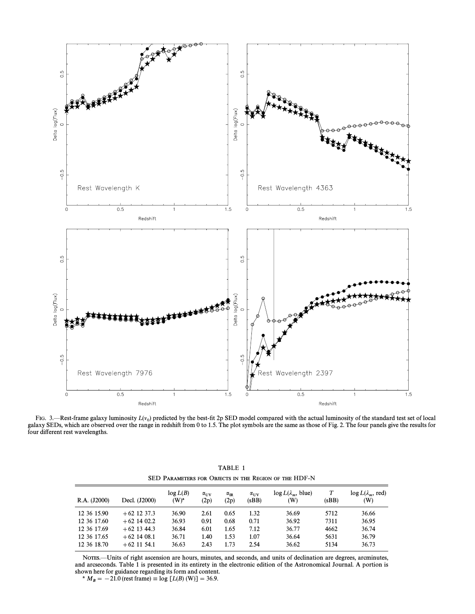

FIG. 3.—Rest-frame galaxy luminosity  $L(v_0)$  predicted by the best-fit 2p SED model compared with the actual luminosity of the standard test set of local FIG. 5. Next hand galaxy Nahmostry  $\mathcal{L}(r_0)$  produced by the sect in  $\mathcal{L}p$  best incert compared with the detail rainhostry of the standard test set of room.<br>galaxy SEDs, which are observed over the range in redshif four different rest wavelengths.

| SED PARAMETERS FOR OBJECTS IN THE REGION OF THE HDF-N |               |                     |                              |                           |                               |                                         |       |                                        |  |  |
|-------------------------------------------------------|---------------|---------------------|------------------------------|---------------------------|-------------------------------|-----------------------------------------|-------|----------------------------------------|--|--|
| R.A. (J2000)                                          | Decl. (J2000) | log L(B)<br>$(W)^a$ | $\alpha_{\text{UV}}$<br>(2p) | $\alpha_{\rm IR}$<br>(2p) | $\alpha_{\text{UV}}$<br>(sBB) | $\log L(\lambda_m, \text{blue})$<br>(W) | (sBB) | $\log L(\lambda_m, \text{red})$<br>(W) |  |  |
| 12 36 15.90                                           | $+62$ 12 37.3 | 36.90               | 2.61                         | 0.65                      | 1.32                          | 36.69                                   | 5712  | 36.66                                  |  |  |
| 12 36 17.60                                           | $+62$ 14 02.2 | 36.93               | 0.91                         | 0.68                      | 0.71                          | 36.92                                   | 7311  | 36.95                                  |  |  |
| 12 36 17.69                                           | $+62$ 13 44.3 | 36.84               | 6.01                         | 1.65                      | 7.12                          | 36.77                                   | 4662  | 36.74                                  |  |  |
| 12 36 17.65                                           | $+62$ 14 08.1 | 36.71               | 1.40                         | 1.53                      | 1.07                          | 36.64                                   | 5631  | 36.79                                  |  |  |
| 12 36 18.70                                           | $+62$ 11 54.1 | 36.63               | 2.43                         | 1.73                      | 2.54                          | 36.62                                   | 5134  | 36.73                                  |  |  |

TABLE 1

NOTES.--Units of right ascension are hours, minutes, and seconds, and units of declination are degrees, arcminutes, and arcseconds. Table 1 is presented in its entirety in the electronic edition of the Astronomical Journal. A portion is shown here for guidance regarding its form and content.

<sup>a</sup>  $M_B = -21.0$  (rest frame)  $\equiv \log [L(B) (W)] = 36.9.$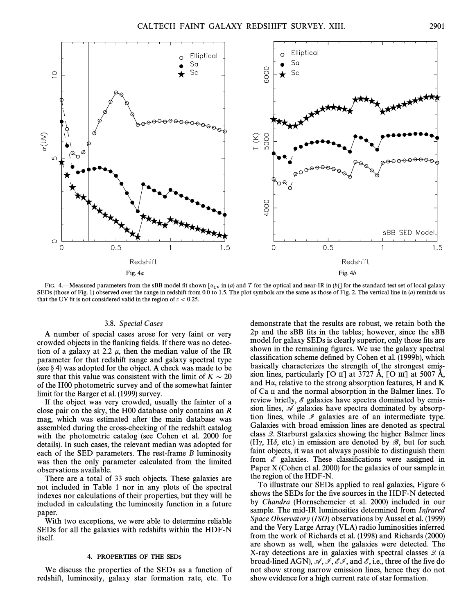

FIG. 4.—Measured parameters from the sBB model fit shown  $\lbrack \alpha_{UV}$  in (a) and T for the optical and near-IR in (b)] for the standard test set of local galaxy SEDs (those of Fig. 1) observed over the range in redshift fr that the UV fit is not considered valid in the region of  $z < 0.25$ .

### 3.8. Special Cases

A number of special cases arose for very faint or very crowded objects in the flanking fields. If there was no detection of a galaxy at 2.2  $\mu$ , then the median value of the IR parameter for that redshift range and galaxy spectral type (see  $\S$  4) was adopted for the object. A check was made to be sure that this value was consistent with the limit of  $K \sim 20$ of the H00 photometric survey and of the somewhat fainter limit for the Barger et al. (1999) survey.

If the object was very crowded, usually the fainter of a close pair on the sky, the H00 database only contains an R mag, which was estimated after the main database was assembled during the cross-checking of the redshift catalog with the photometric catalog (see Cohen et al. 2000 for details). In such cases, the relevant median was adopted for each of the SED parameters. The rest-frame B luminosity was then the only parameter calculated from the limited observations available.

There are a total of 33 such objects. These galaxies are not included in Table 1 nor in any plots of the spectral indexes nor calculations of their properties, but they will be included in calculating the luminosity function in a future paper.

With two exceptions, we were able to determine reliable SEDs for all the galaxies with redshifts within the HDF-N itself.

#### 4. PROPERTIES OF THE SEDs

We discuss the properties of the SEDs as a function of redshift, luminosity, galaxy star formation rate, etc. To demonstrate that the results are robust, we retain both the 2p and the sBB fits in the tables; however, since the sBB model for galaxy SEDs is clearly superior, only those fits are shown in the remaining figures. We use the galaxy spectral classification scheme defined by Cohen et al. (1999b), which basically characterizes the strength of the strongest emission lines, particularly  $\lceil \text{O} \text{II} \rceil$  at 3727 Å,  $\lceil \text{O} \text{III} \rceil$  at 5007 Å, and Ha, relative to the strong absorption features, H and K of Ca II and the normal absorption in the Balmer lines. To review briefly,  $\mathscr E$  galaxies have spectra dominated by emission lines,  $\mathscr A$  galaxies have spectra dominated by absorption lines, while  $\mathcal I$  galaxies are of an intermediate type. Galaxies with broad emission lines are denoted as spectral class Q. Starburst galaxies showing the higher Balmer lines (H<sub> $\gamma$ </sub>, H $\delta$ , etc.) in emission are denoted by  $\mathscr{B}$ , but for such faint objects, it was not always possible to distinguish them from  $\mathscr E$  galaxies. These classifications were assigned in Paper X (Cohen et al. 2000) for the galaxies of our sample in the region of the HDF-N.

To illustrate our SEDs applied to real galaxies, Figure 6 shows the SEDs for the five sources in the HDF-N detected by Chandra (Hornschemeier et al. 2000) included in our sample. The mid-IR luminosities determined from Infrared Space Observatory (ISO) observations by Aussel et al. (1999) and the Very Large Array (VLA) radio luminosities inferred from the work of Richards et al. (1998) and Richards (2000) are shown as well, when the galaxies were detected. The X-ray detections are in galaxies with spectral classes  $\mathcal{Q}$  (a broad-lined AGN),  $\mathcal{A}, \mathcal{I}, \mathcal{E}, \mathcal{I}$ , and  $\mathcal{E}$ , i.e., three of the five do not show strong narrow emission lines, hence they do not show evidence for a high current rate of star formation.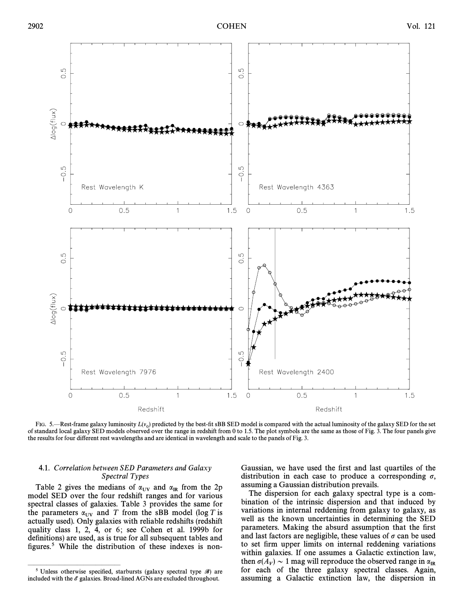![](_page_7_Figure_3.jpeg)

FIG. 5.—Rest-frame galaxy luminosity  $L(v_0)$  predicted by the best-fit sBB SED model is compared with the actual luminosity of the galaxy SED for the set of standard local galaxy SED models observed over the range in redshift from 0 to 1.5. The plot symbols are the same as those of Fig. 3. The four panels give the results for four different rest wavelengths and are identical in wavelength and scale to the panels of Fig. 3.

## 4.1. Correlation between SED Parameters and Galaxy Spectral Types

Table 2 gives the medians of  $\alpha_{UV}$  and  $\alpha_{IR}$  from the 2p and SED over the four redshift ranges and for various model SED over the four redshift ranges and for various spectral classes of galaxies. Table 3 provides the same for the parameters  $\alpha_{\text{UV}}$  and T from the sBB model (log T is actually used). Only galaxies with reliable redshifts (redshift quality class 1, 2, 4, or 6; see Cohen et al. 1999b for definitions) are used, as is true for all subsequent tables and figures.<sup>5</sup> While the distribution of these indexes is non-

ÈÈÈÈÈÈÈÈÈÈÈÈÈÈÈ

Gaussian, we have used the first and last quartiles of the distribution in each case to produce a corresponding  $\sigma$ , assuming a Gaussian distribution prevails.

The dispersion for each galaxy spectral type is a combination of the intrinsic dispersion and that induced by variations in internal reddening from galaxy to galaxy, as well as the known uncertainties in determining the SED parameters. Making the absurd assumption that the first and last factors are negligible, these values of  $\sigma$  can be used to set firm upper limits on internal reddening variations within galaxies. If one assumes a Galactic extinction law, then  $\sigma(A_V) \sim 1$  mag will reproduce the observed range in  $\alpha$ <br>for each of the three galaxy spectral classes. Again for each of the three galaxy spectral classes. Again, assuming a Galactic extinction law, the dispersion in

<sup>&</sup>lt;sup>5</sup> Unless otherwise specified, starbursts (galaxy spectral type  $\mathscr{B}$ ) are included with the  $\mathscr E$  galaxies. Broad-lined AGNs are excluded throughout.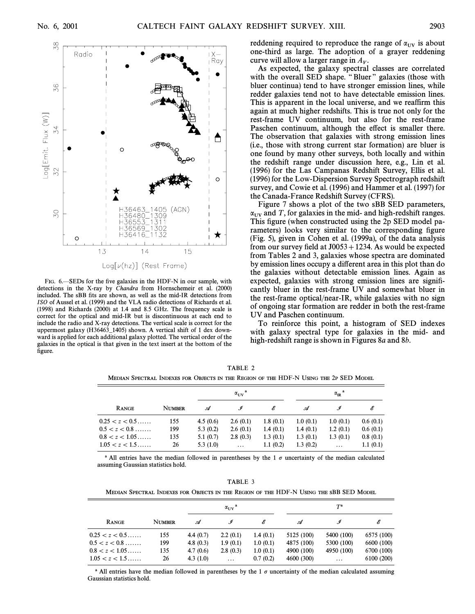![](_page_8_Figure_3.jpeg)

FIG. 6.—SEDs for the five galaxies in the HDF-N in our sample, with detections in the X-ray by Chandra from Hornschemeir et al. (2000) included. The sBB fits are shown, as well as the mid-IR detections from ISO of Aussel et al. (1999) and the VLA radio detections of Richards et al. (1998) and Richards (2000) at 1.4 and 8.5 GHz. The frequency scale is correct for the optical and mid-IR but is discontinuous at each end to include the radio and X-ray detections. The vertical scale is correct for the uppermost galaxy (H36463–1405) shown. A vertical shift of 1 dex downward is applied for each additional galaxy plotted. The vertical order of the galaxies in the optical is that given in the text insert at the bottom of the figure.

reddening required to reproduce the range of  $\alpha_{UV}$  is about one-third as large. The adoption of a grayer reddening curve will allow a larger range in  $A_V$ .

As expected, the galaxy spectral classes are correlated with the overall SED shape. "Bluer" galaxies (those with bluer continua) tend to have stronger emission lines, while redder galaxies tend not to have detectable emission lines. This is apparent in the local universe, and we reaffirm this again at much higher redshifts. This is true not only for the rest-frame UV continuum, but also for the rest-frame Paschen continuum, although the effect is smaller there. The observation that galaxies with strong emission lines (i.e., those with strong current star formation) are bluer is one found by many other surveys, both locally and within the redshift range under discussion here, e.g., Lin et al. (1996) for the Las Campanas Redshift Survey, Ellis et al. (1996) for the Low-Dispersion Survey Spectrograph redshift survey, and Cowie et al. (1996) and Hammer et al. (1997) for the Canada-France Redshift Survey (CFRS).

Figure 7 shows a plot of the two sBB SED parameters,  $\alpha_{UV}$  and T, for galaxies in the mid- and high-redshift ranges.<br>This figure (when constructed using the 2p SED model parameters) looks very similar to the corresponding figure (Fig. 5), given in Cohen et al. (1999a), of the data analysis from our survey field at  $J0053 + 1234$ . As would be expected from Tables 2 and 3, galaxies whose spectra are dominated by emission lines occupy a di†erent area in this plot than do the galaxies without detectable emission lines. Again as expected, galaxies with strong emission lines are signiÐcantly bluer in the rest-frame UV and somewhat bluer in the rest-frame optical/near-IR, while galaxies with no sign of ongoing star formation are redder in both the rest-frame UV and Paschen continuum.

To reinforce this point, a histogram of SED indexes with galaxy spectral type for galaxies in the mid- and high-redshift range is shown in Figures 8a and 8b.

TABLE 2 MEDIAN SPECTRAL INDEXES FOR OBJECTS IN THE REGION OF THE HDF-N USING THE 2P SED MODEL

|                        |               |          | $\alpha_{\text{UV}}^{\text{a}}$ |          |          | $\alpha_{\text{IR}}^{\text{a}}$ |          |
|------------------------|---------------|----------|---------------------------------|----------|----------|---------------------------------|----------|
| RANGE                  | <b>NUMBER</b> | A        |                                 | E        | .⊄       |                                 | E        |
| $0.25 < z < 0.5$       | 155           | 4.5(0.6) | 2.6(0.1)                        | 1.8(0.1) | 1.0(0.1) | 1.0(0.1)                        | 0.6(0.1) |
| $0.5 < z < 0.8 \ldots$ | 199           | 5.3(0.2) | 2.6(0.1)                        | 1.4(0.1) | 1.4(0.1) | 1.2(0.1)                        | 0.6(0.1) |
| $0.8 < z < 1.05$       | 135           | 5.1(0.7) | 2.8(0.3)                        | 1.3(0.1) | 1.3(0.1) | 1.3(0.1)                        | 0.8(0.1) |
| $1.05 < z < 1.5$       | 26            | 5.3(1.0) | $\cdots$                        | 1.1(0.2) | 1.3(0.2) | $\cdots$                        | 1.1(0.1) |

<sup>a</sup> All entries have the median followed in parentheses by the 1  $\sigma$  uncertainty of the median calculated assuming Gaussian statistics hold.

|  | 1.AD 1.J                   |  |  |
|--|----------------------------|--|--|
|  | n't mein. Dingeant an mein |  |  |

TABLE 3 MEDIAN SPECTRAL INDEXES FOR OBJECTS IN THE REGION OF THE HDF-N USING THE SBB SED MODEL

|                                      |               |                            | $\alpha_{\text{UV}}$ |                      |                          | $T^{\rm a}$            |                          |
|--------------------------------------|---------------|----------------------------|----------------------|----------------------|--------------------------|------------------------|--------------------------|
| RANGE                                | <b>NUMBER</b> | .⊄                         |                      |                      | .A                       |                        | E                        |
| $0.25 < z < 0.5$                     | 155           | 4.4 $(0.7)$                | 2.2(0.1)             | 1.4(0.1)             | 5125 (100)               | 5400 (100)             | 6575 (100)               |
| $0.5 < z < 0.8 \ldots$               | 199           | 4.8 $(0.3)$                | 1.9(0.1)             | 1.0(0.1)             | 4875 (100)               | 5300 (100)             | 6600 (100)               |
| $0.8 < z < 1.05$<br>$1.05 < z < 1.5$ | 135<br>26     | 4.7 $(0.6)$<br>4.3 $(1.0)$ | 2.8(0.3)<br>$\cdots$ | 1.0(0.1)<br>0.7(0.2) | 4900 (100)<br>4600 (300) | 4950 (100)<br>$\cdots$ | 6700 (100)<br>6100 (200) |

<sup>a</sup> All entries have the median followed in parentheses by the 1  $\sigma$  uncertainty of the median calculated assuming Gaussian statistics hold.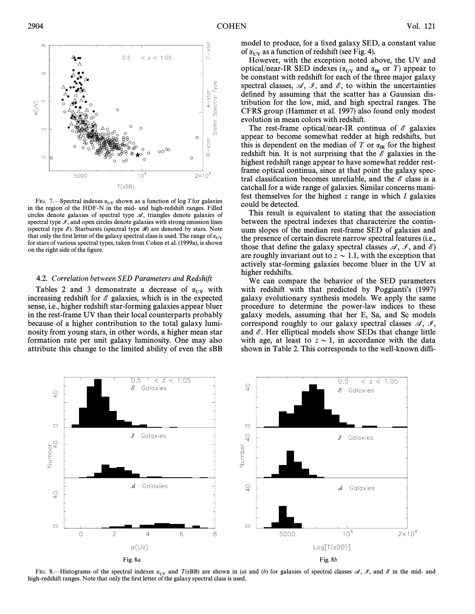![](_page_9_Figure_2.jpeg)

FIG. 7.—Spectral indexes  $\alpha_{UV}$  shown as a function of log T for galaxies in the region of the HDF-N in the mid- and high-redshift ranges. Filled circles denote galaxies of spectral type  $\mathscr A$ , triangles denote galaxies of spectral type  $I$ , and open circles denote galaxies with strong emission lines (spectral type  $\mathscr E$ ). Starbursts (spectral type  $\mathscr B$ ) are denoted by stars. Note that only the first letter of the galaxy spectral class is used. The range of  $\alpha_{\text{UV}}$ for stars of various spectral types, taken from Cohen et al. (1999a), is shown on the right side of the figure.

#### 4.2. Correlation between SED Parameters and Redshift

Tables 2 and 3 demonstrate a decrease of  $\alpha_{UV}$  with increasing redshift for  $\mathscr E$  galaxies, which is in the expected sense, i.e., higher redshift star-forming galaxies appear bluer in the rest-frame UV than their local counterparts probably because of a higher contribution to the total galaxy luminosity from young stars, in other words, a higher mean star formation rate per unit galaxy luminosity. One may also attribute this change to the limited ability of even the sBB model to produce, for a fixed galaxy SED, a constant value of  $\alpha_{UV}$  as a function of redshift (see Fig. 4).

However, with the exception noted above, the UV and optical/near-IR SED indexes ( $\alpha_{UV}$  and  $\alpha_{IR}$  or T) appear to be constant with redshift for each of the three major galaxy spectral classes,  $\mathcal{A}, \mathcal{I},$  and  $\mathcal{E}$ , to within the uncertainties defined by assuming that the scatter has a Gaussian distribution for the low, mid, and high spectral ranges. The CFRS group (Hammer et al. 1997) also found only modest evolution in mean colors with redshift.

The rest-frame optical/near-IR continua of  $\mathscr E$  galaxies appear to become somewhat redder at high redshifts, but this is dependent on the median of T or  $\alpha_{IR}$  for the highest redshift bin. It is not surprising that the  $\mathscr E$  galaxies in the highest redshift range appear to have somewhat redder restframe optical continua, since at that point the galaxy spectral classification becomes unreliable, and the  $\mathscr E$  class is a catchall for a wide range of galaxies. Similar concerns manifest themselves for the highest  $z$  range in which  $I$  galaxies could be detected.

This result is equivalent to stating that the association between the spectral indexes that characterize the continuum slopes of the median rest-frame SED of galaxies and the presence of certain discrete narrow spectral features (i.e., those that define the galaxy spectral classes  $\mathcal{A}, \mathcal{I},$  and  $\mathcal{E}$ ) are roughly invariant out to  $z \sim 1.1$ , with the exception that actively star-forming galaxies become bluer in the UV at higher redshifts.

We can compare the behavior of the SED parameters with redshift with that predicted by Poggianti's  $(1997)$ galaxy evolutionary synthesis models. We apply the same procedure to determine the power-law indices to these galaxy models, assuming that her E, Sa, and Sc models correspond roughly to our galaxy spectral classes  $\mathcal{A}, \mathcal{I},$ and  $\mathscr E$ . Her elliptical models show SEDs that change little with age, at least to  $z \sim 1$ , in accordance with the data shown in Table 2. This corresponds to the well-known diffi-

![](_page_9_Figure_11.jpeg)

FIG. 8.—Histograms of the spectral indexes  $\alpha_{UV}$  and  $T(sBB)$  are shown in (a) and (b) for galaxies of spectral classes  $\mathcal{A}, \mathcal{I},$  and  $\mathcal{E}$  in the mid- and high-redshift ranges. Note that only the first letter of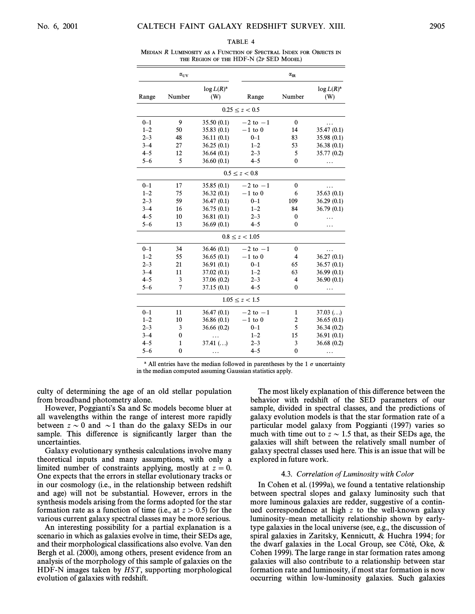#### TARI F 4

MEDIAN R LUMINOSITY AS A FUNCTION OF SPECTRAL INDEX FOR OBJECTS IN THE REGION OF THE HDF-N (2P SED MODEL)

|         | $\alpha_{\text{UV}}$           |             |                    | $\alpha_{IR}$ |             |        |                      |
|---------|--------------------------------|-------------|--------------------|---------------|-------------|--------|----------------------|
| Range   | $\log L(R)^a$<br>Number<br>(W) |             |                    |               | Range       | Number | $\log L(R)^a$<br>(W) |
|         |                                |             | $0.25 \le z < 0.5$ |               |             |        |                      |
| $0 - 1$ | 9                              | 35.50 (0.1) | $-2$ to $-1$       | $\mathbf{0}$  |             |        |                      |
| $1 - 2$ | 50                             | 35.83 (0.1) | $-1$ to 0          | 14            | 35.47 (0.1) |        |                      |
| $2 - 3$ | 48                             | 36.11(0.1)  | $0 - 1$            | 83            | 35.98 (0.1) |        |                      |
| $3 - 4$ | 27                             | 36.25(0.1)  | $1 - 2$            | 53            | 36.38 (0.1) |        |                      |
| $4 - 5$ | 12                             | 36.64(0.1)  | $2 - 3$            | 5             | 35.77 (0.2) |        |                      |
| $5 - 6$ | 5                              | 36.60(0.1)  | $4 - 5$            | $\mathbf{0}$  |             |        |                      |
|         |                                |             | $0.5 \le z < 0.8$  |               |             |        |                      |
| $0 - 1$ | 17                             | 35.85(0.1)  | $-2$ to $-1$       | $\bf{0}$      |             |        |                      |
| $1 - 2$ | 75                             | 36.32(0.1)  | $-1$ to 0          | 6             | 35.63(0.1)  |        |                      |
| $2 - 3$ | 59                             | 36.47(0.1)  | $0 - 1$            | 109           | 36.29(0.1)  |        |                      |
| $3 - 4$ | 16                             | 36.75(0.1)  | $1 - 2$            | 84            | 36.79(0.1)  |        |                      |
| $4 - 5$ | 10                             | 36.81(0.1)  | $2 - 3$            | $\bf{0}$      | .           |        |                      |
| $5 - 6$ | 13                             | 36.69(0.1)  | $4 - 5$            | $\bf{0}$      | .           |        |                      |
|         |                                |             | $0.8 \le z < 1.05$ |               |             |        |                      |
| $0 - 1$ | 34                             | 36.46(0.1)  | $-2$ to $-1$       | $\bf{0}$      |             |        |                      |
| $1 - 2$ | 55                             | 36.65(0.1)  | $-1$ to 0          | 4             | 36.27(0.1)  |        |                      |
| $2 - 3$ | 21                             | 36.91(0.1)  | $0 - 1$            | 65            | 36.57(0.1)  |        |                      |
| $3 - 4$ | 11                             | 37.02 (0.1) | $1 - 2$            | 63            | 36.99(0.1)  |        |                      |
| $4 - 5$ | 3                              | 37.06 (0.2) | $2 - 3$            | 4             | 36.90(0.1)  |        |                      |
| $5 - 6$ | 7                              | 37.15(0.1)  | $4 - 5$            | $\bf{0}$      | .           |        |                      |
|         |                                |             | $1.05 \le z < 1.5$ |               |             |        |                      |
| $0 - 1$ | 11                             | 36.47(0.1)  | $-2$ to $-1$       | $\mathbf{1}$  | $37.03$ ()  |        |                      |
| $1 - 2$ | 10                             | 36.86 (0.1) | $-1$ to 0          | 2             | 36.65(0.1)  |        |                      |
| $2 - 3$ | 3                              | 36.66 (0.2) | $0 - 1$            | 5             | 36.34(0.2)  |        |                      |
| $3 - 4$ | $\bf{0}$                       | .           | $1 - 2$            | 15            | 36.91 (0.1) |        |                      |
| $4 - 5$ | 1                              | $37.41$ ()  | $2 - 3$            | 3             | 36.68(0.2)  |        |                      |
| $5 - 6$ | $\mathbf{0}$                   |             | $4 - 5$            | $\mathbf{0}$  | .           |        |                      |

<sup>a</sup> All entries have the median followed in parentheses by the 1  $\sigma$  uncertainty in the median computed assuming Gaussian statistics apply.

culty of determining the age of an old stellar population from broadband photometry alone.

However, Poggianti's Sa and Sc models become bluer at all wavelengths within the range of interest more rapidly between  $z \sim 0$  and  $\sim$ 1 than do the galaxy SEDs in our sample. This difference is significantly larger than the uncertainties.

Galaxy evolutionary synthesis calculations involve many theoretical inputs and many assumptions, with only a limited number of constraints applying, mostly at  $z=0$ . One expects that the errors in stellar evolutionary tracks or in our cosmology (i.e., in the relationship between redshift and age) will not be substantial. However, errors in the synthesis models arising from the forms adopted for the star formation rate as a function of time (i.e., at  $z > 0.5$ ) for the various current galaxy spectral classes may be more serious.

An interesting possibility for a partial explanation is a scenario in which as galaxies evolve in time, their SEDs age, and their morphological classifications also evolve. Van den Bergh et al. (2000), among others, present evidence from an analysis of the morphology of this sample of galaxies on the HDF-N images taken by  $HST$ , supporting morphological evolution of galaxies with redshift.

The most likely explanation of this difference between the behavior with redshift of the SED parameters of our sample, divided in spectral classes, and the predictions of galaxy evolution models is that the star formation rate of a particular model galaxy from Poggianti (1997) varies so much with time out to  $z \sim 1.5$  that, as their SEDs age, the galaxies will shift between the relatively small number of galaxy spectral classes used here. This is an issue that will be explored in future work.

#### 4.3. Correlation of Luminosity with Color

In Cohen et al. (1999a), we found a tentative relationship between spectral slopes and galaxy luminosity such that more luminous galaxies are redder, suggestive of a continued correspondence at high z to the well-known galaxy luminosity–mean metallicity relationship shown by earlytype galaxies in the local universe (see, e.g., the discussion of spiral galaxies in Zaritsky, Kennicutt, & Huchra 1994; for the dwarf galaxies in the Local Group, see Côté, Oke,  $\&$ Cohen 1999). The large range in star formation rates among galaxies will also contribute to a relationship between star formation rate and luminosity, if most star formation is now occurring within low-luminosity galaxies. Such galaxies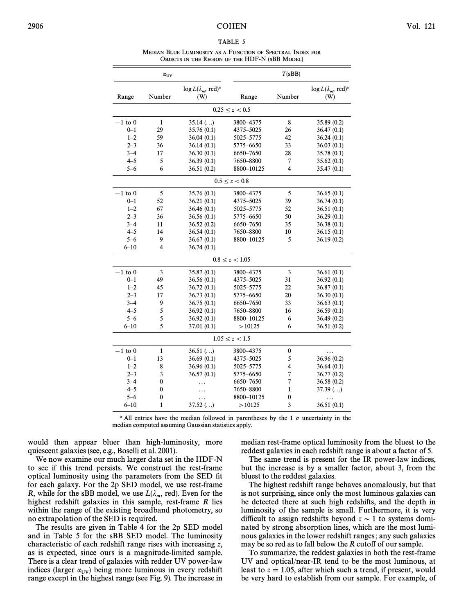#### TABLE 5

MEDIAN BLUE LUMINOSITY AS A FUNCTION OF SPECTRAL INDEX FOR OBJECTS IN THE REGION OF THE HDF-N (SBB MODEL)

|             | $\alpha_{\text{UV}}$ |                                                    |                    | T(sBB)                  |                                                   |
|-------------|----------------------|----------------------------------------------------|--------------------|-------------------------|---------------------------------------------------|
| Range       | Number               | $\log L(\lambda_m, \text{ red})^{\text{a}}$<br>(W) | Range              | Number                  | $\log L(\lambda_m, \text{red})^{\text{a}}$<br>(W) |
|             |                      |                                                    | $0.25 \le z < 0.5$ |                         |                                                   |
| $-1$ to $0$ | $\mathbf 1$          | $35.14$ ()                                         | 3800-4375          | 8                       | 35.89 (0.2)                                       |
| $0 - 1$     | 29                   | 35.76 (0.1)                                        | 4375-5025          | 26                      | 36.47(0.1)                                        |
| $1 - 2$     | 59                   | 36.04(0.1)                                         | 5025-5775          | 42                      | 36.24(0.1)                                        |
| $2 - 3$     | 36                   | 36.14(0.1)                                         | 5775-6650          | 33                      | 36.03(0.1)                                        |
| $3 - 4$     | 17                   | 36.30(0.1)                                         | 6650-7650          | 28                      | 35.78 (0.1)                                       |
| $4 - 5$     | 5                    | 36.39(0.1)                                         | 7650-8800          | 7                       | 35.62(0.1)                                        |
| $5 - 6$     | 6                    | 36.51(0.2)                                         | 8800-10125         | $\overline{\mathbf{4}}$ | 35.47(0.1)                                        |
|             |                      |                                                    | $0.5 \le z < 0.8$  |                         |                                                   |
| $-1$ to 0   | 5                    | 35.76 (0.1)                                        | 3800-4375          | 5                       | 36.65(0.1)                                        |
| $0 - 1$     | 52                   | 36.21(0.1)                                         | 4375-5025          | 39                      | 36.74 (0.1)                                       |
| $1 - 2$     | 67                   | 36.46(0.1)                                         | 5025-5775          | 52                      | 36.51(0.1)                                        |
| $2 - 3$     | 36                   | 36.56(0.1)                                         | 5775-6650          | 50                      | 36.29(0.1)                                        |
| $3 - 4$     | 11                   | 36.52(0.2)                                         | 6650-7650          | 35                      | 36.38(0.1)                                        |
| $4 - 5$     | 14                   | 36.54(0.1)                                         | 7650-8800          | 10                      | 36.15(0.1)                                        |
| $5 - 6$     | 9                    | 36.67(0.1)                                         | 8800-10125         | 5                       | 36.19(0.2)                                        |
| $6 - 10$    | 4                    | 36.74(0.1)                                         |                    |                         |                                                   |
|             |                      |                                                    | $0.8 \le z < 1.05$ |                         |                                                   |
| $-1$ to $0$ | 3                    | 35.87 (0.1)                                        | 3800-4375          | 3                       | 36.61(0.1)                                        |
| $0 - 1$     | 49                   | 36.56(0.1)                                         | 4375-5025          | 31                      | 36.92(0.1)                                        |
| $1 - 2$     | 45                   | 36.72(0.1)                                         | 5025-5775          | 22                      | 36.87(0.1)                                        |
| $2 - 3$     | 17                   | 36.73(0.1)                                         | 5775-6650          | 20                      | 36.30(0.1)                                        |
| $3 - 4$     | 9                    | 36.75(0.1)                                         | 6650-7650          | 33                      | 36.63(0.1)                                        |
| $4 - 5$     | 5                    | 36.92(0.1)                                         | 7650-8800          | 16                      | 36.59(0.1)                                        |
| $5 - 6$     | 5                    | 36.92(0.1)                                         | 8800-10125         | 6                       | 36.49(0.2)                                        |
| $6 - 10$    | 5                    | 37.01 (0.1)                                        | >10125             | 6                       | 36.51 (0.2)                                       |
|             |                      |                                                    | $1.05 \le z < 1.5$ |                         |                                                   |
| $-1$ to 0   | $\mathbf{1}$         | $36.51$ ()                                         | 3800-4375          | 0                       | .                                                 |
| $0 - 1$     | 13                   | 36.69(0.1)                                         | 4375-5025          | 5                       | 36.96 (0.2)                                       |
| $1 - 2$     | 8                    | 36.96 (0.1)                                        | 5025-5775          | 4                       | 36.64(0.1)                                        |
| $2 - 3$     | 3                    | 36.57(0.1)                                         | 5775–6650          | 7                       | 36.77(0.2)                                        |
| $3 - 4$     | $\bf{0}$             | .                                                  | 6650-7650          | $\overline{7}$          | 36.58(0.2)                                        |
| $4 - 5$     | $\bf{0}$             |                                                    | 7650-8800          | $\mathbf{1}$            | $37.39$ ()                                        |
| $5 - 6$     | 0                    | .                                                  | 8800-10125         | 0                       |                                                   |
| $6 - 10$    | $\mathbf{1}$         | $37.52$ ()                                         | >10125             | 3                       | 36.51(0.1)                                        |

<sup>a</sup> All entries have the median followed in parentheses by the 1  $\sigma$  uncertainty in the median computed assuming Gaussian statistics apply.

would then appear bluer than high-luminosity, more quiescent galaxies (see, e.g., Boselli et al. 2001).

We now examine our much larger data set in the HDF-N to see if this trend persists. We construct the rest-frame optical luminosity using the parameters from the SED fit for each galaxy. For the 2p SED model, we use rest-frame R, while for the sBB model, we use  $L(\lambda_m, \text{ red})$ . Even for the highest redshift galaxies in this sample, rest-frame  $R$  lies within the range of the existing broadband photometry, so no extrapolation of the SED is required.

The results are given in Table 4 for the 2p SED model and in Table 5 for the sBB SED model. The luminosity characteristic of each redshift range rises with increasing z, as is expected, since ours is a magnitude-limited sample. There is a clear trend of galaxies with redder UV power-law indices (larger  $\alpha_{UV}$ ) being more luminous in every redshift range except in the bighest range (see Fig. 9). The increase in range except in the highest range (see Fig. 9). The increase in median rest-frame optical luminosity from the bluest to the reddest galaxies in each redshift range is about a factor of 5.

The same trend is present for the IR power-law indices, but the increase is by a smaller factor, about 3, from the bluest to the reddest galaxies.

The highest redshift range behaves anomalously, but that is not surprising, since only the most luminous galaxies can be detected there at such high redshifts, and the depth in luminosity of the sample is small. Furthermore, it is very difficult to assign redshifts beyond  $z \sim 1$  to systems dominated by strong absorption lines, which are the most luminous galaxies in the lower redshift ranges ; any such galaxies may be so red as to fall below the  $R$  cutoff of our sample.

To summarize, the reddest galaxies in both the rest-frame UV and optical/near-IR tend to be the most luminous, at least to  $z = 1.05$ , after which such a trend, if present, would be very hard to establish from our sample. For example, of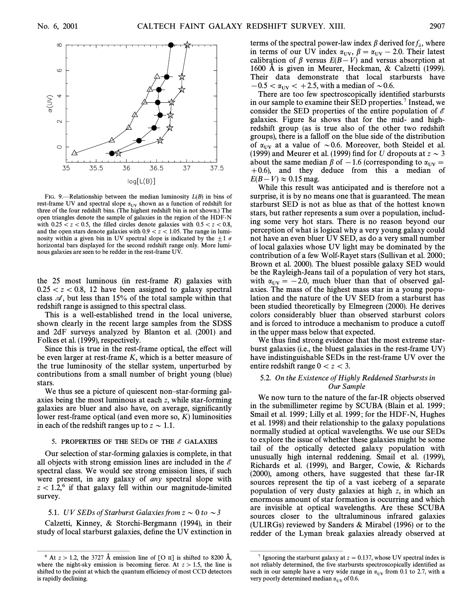![](_page_12_Figure_3.jpeg)

FIG. 9.—Relationship between the median luminosity  $L(B)$  in bins of rest-frame UV and spectral slope  $\alpha_{UV}$  shown as a function of redshift for three of the four redshift bins. (The highest redshift bin is not shown.) The open triangles denote the sample of galaxies in the region of the HDF-N with  $0.25 \lt z\lt 0.5$ , the filled circles denote galaxies with  $0.5\lt z\lt 0.8$ , and the open stars denote galaxies with  $0.9 \lt z \lt 1.05$ . The range in luminosity within a given bin in UV spectral slope is indicated by the  $\pm 1 \sigma$ horizontal bars displayed for the second redshift range only. More luminous galaxies are seen to be redder in the rest-frame UV.

the 25 most luminous (in rest-frame R) galaxies with  $0.25 < z < 0.8$ , 12 have been assigned to galaxy spectral class  $\mathcal{A}$ , but less than 15% of the total sample within that redshift range is assigned to this spectral class.

This is a well-established trend in the local universe, shown clearly in the recent large samples from the SDSS and 2dF surveys analyzed by Blanton et al. (2001) and Folkes et al. (1999), respectively.

Since this is true in the rest-frame optical, the effect will be even larger at rest-frame K, which is a better measure of the true luminosity of the stellar system, unperturbed by contributions from a small number of bright young (blue) stars.

We thus see a picture of quiescent non–star-forming galaxies being the most luminous at each z, while star-forming galaxies are bluer and also have, on average, significantly lower rest-frame optical (and even more so,  $K$ ) luminosities in each of the redshift ranges up to  $z \sim 1.1$ .

#### 5. PROPERTIES OF THE SEDs OF THE  $\mathscr E$  GALAXIES

Our selection of star-forming galaxies is complete, in that all objects with strong emission lines are included in the  $\ell$ spectral class. We would see strong emission lines, if such were present, in any galaxy of any spectral slope with  $z < 1.2$ ,<sup>6</sup> if that galaxy fell within our magnitude-limited survey.

#### 5.1. UV SEDs of Starburst Galaxies from  $z \sim 0$  to  $\sim$  3

Calzetti, Kinney, & Storchi-Bergmann (1994), in their study of local starburst galaxies, define the UV extinction in

ÈÈÈÈÈÈÈÈÈÈÈÈÈÈÈ

terms of the spectral power-law index  $\beta$  derived for  $f_{\lambda}$ , where in terms of our UV index  $\alpha_{UV}, \beta = \alpha_{UV} - 2.0$ . Their latest<br>collibration of B versus  $F(B, V)$  and versus absorption at calibration of  $\beta$  versus  $E(B-V)$  and versus absorption at 1600  $\AA$  is given in Meurer, Heckman, & Calzetti (1999). Their data demonstrate that local starbursts have  $-0.5 < \alpha_{UV} < +2.5$ , with a median of  $\sim 0.6$ .

There are too few spectroscopically identified starbursts in our sample to examine their SED properties.<sup>7</sup> Instead, we consider the SED properties of the entire population of  $\mathscr E$ galaxies. Figure 8a shows that for the mid- and highredshift group (as is true also of the other two redshift groups), there is a fallo† on the blue side of the distribution of  $\alpha_{\text{UV}}$  at a value of  $\sim$  0.6. Moreover, both Steidel et al. (1999) and Meurer et al. (1999) find for U dropouts at  $z \sim 3$ about the same median  $\beta$  of  $-1.6$  (corresponding to  $\alpha_{UV} =$ <br>+0.6) and they deduce from this a median of  $+0.6$ ), and they deduce from this a median of  $E(B-V) \approx 0.15$  mag.

While this result was anticipated and is therefore not a surprise, it is by no means one that is guaranteed. The mean starburst SED is not as blue as that of the hottest known stars, but rather represents a sum over a population, including some very hot stars. There is no reason beyond our perception of what is logical why a very young galaxy could not have an even bluer UV SED, as do a very small number of local galaxies whose UV light may be dominated by the contribution of a few Wolf-Rayet stars (Sullivan et al. 2000 ; Brown et al. 2000). The bluest possible galaxy SED would be the Rayleigh-Jeans tail of a population of very hot stars, with  $\alpha_{UV} = -2.0$ , much bluer than that of observed gal-<br>axies. The mass of the bighest mass star in a voung popular axies. The mass of the highest mass star in a young population and the nature of the UV SED from a starburst has been studied theoretically by Elmegreen (2000). He derives colors considerably bluer than observed starburst colors and is forced to introduce a mechanism to produce a cutoff in the upper mass below that expected.

We thus find strong evidence that the most extreme starburst galaxies (i.e., the bluest galaxies in the rest-frame UV) have indistinguishable SEDs in the rest-frame UV over the entire redshift range  $0 \lt z \lt 3$ .

### 5.2. On the Existence of Highly Reddened Starbursts in Our Sample

We now turn to the nature of the far-IR objects observed in the submillimeter regime by SCUBA (Blain et al. 1999 ; Smail et al. 1999; Lilly et al. 1999; for the HDF-N, Hughes et al. 1998) and their relationship to the galaxy populations normally studied at optical wavelengths. We use our SEDs to explore the issue of whether these galaxies might be some tail of the optically detected galaxy population with unusually high internal reddening. Smail et al. (1999), Richards et al. (1999), and Barger, Cowie, & Richards (2000), among others, have suggested that these far-IR sources represent the tip of a vast iceberg of a separate population of very dusty galaxies at high z, in which an enormous amount of star formation is occurring and which are invisible at optical wavelengths. Are these SCUBA sources closer to the ultraluminous infrared galaxies (ULIRGs) reviewed by Sanders & Mirabel (1996) or to the redder of the Lyman break galaxies already observed at

ÈÈÈÈÈÈÈÈÈÈÈÈÈÈÈ

<sup>&</sup>lt;sup>6</sup> At  $z > 1.2$ , the 3727 Å emission line of [O  $\text{II}$ ] is shifted to 8200 Å, where the night-sky emission is becoming fierce. At  $z > 1.5$ , the line is shifted to the point at which the quantum efficiency of most CCD detectors is rapidly declining.

<sup>&</sup>lt;sup>7</sup> Ignoring the starburst galaxy at  $z = 0.137$ , whose UV spectral index is not reliably determined, the five starbursts spectroscopically identified as such in our sample have a very wide range in  $\alpha_{UV}$  from 0.1 to 2.7, with a very poorly determined median  $\alpha_{UV}$  of 0.6.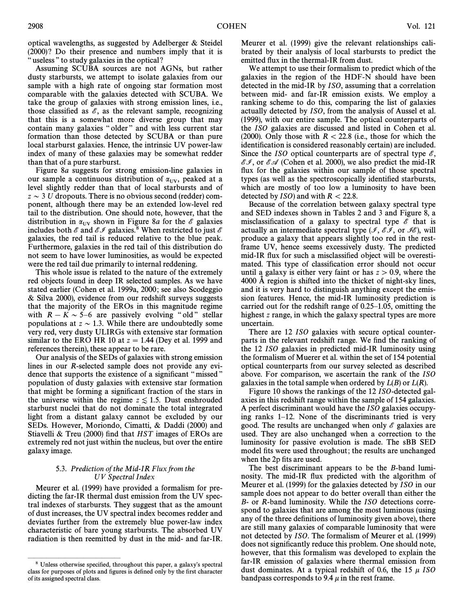optical wavelengths, as suggested by Adelberger & Steidel (2000)? Do their presence and numbers imply that it is " useless " to study galaxies in the optical?

Assuming SCUBA sources are not AGNs, but rather dusty starbursts, we attempt to isolate galaxies from our sample with a high rate of ongoing star formation most comparable with the galaxies detected with SCUBA. We take the group of galaxies with strong emission lines, i.e., those classified as  $\mathscr{E}$ , as the relevant sample, recognizing that this is a somewhat more diverse group that may contain many galaxies "older" and with less current star formation than those detected by SCUBA or than pure local starburst galaxies. Hence, the intrinsic UV power-law index of many of these galaxies may be somewhat redder than that of a pure starburst.

Figure 8a suggests for strong emission-line galaxies in our sample a continuous distribution of  $\alpha_{UV}$ , peaked at a layel slightly redder than that of local starbursts and of level slightly redder than that of local starbursts and of  $z \sim$  3 U dropouts. There is no obvious second (redder) component, although there may be an extended low-level red tail to the distribution. One should note, however, that the distribution in  $\alpha_{UV}$  shown in Figure 8*a* for the  $\mathscr E$  galaxies includes both  $\mathscr E$  and  $\mathscr E\mathscr I$  galaxies.<sup>8</sup> When restricted to just  $\mathscr E$ galaxies, the red tail is reduced relative to the blue peak. Furthermore, galaxies in the red tail of this distribution do not seem to have lower luminosities, as would be expected were the red tail due primarily to internal reddening.

This whole issue is related to the nature of the extremely red objects found in deep IR selected samples. As we have stated earlier (Cohen et al. 1999a, 2000; see also Scodeggio & Silva 2000), evidence from our redshift surveys suggests that the majority of the EROs in this magnitude regime with  $R - K \sim 5$ –6 are passively evolving "old" stellar populations at  $z \sim 1.3$ . While there are undoubtedly some very red, very dusty ULIRGs with extensive star formation similar to the ERO HR 10 at  $z = 1.44$  (Dey et al. 1999 and references therein), these appear to be rare.

Our analysis of the SEDs of galaxies with strong emission lines in our R-selected sample does not provide any evidence that supports the existence of a significant "missed" population of dusty galaxies with extensive star formation that might be forming a significant fraction of the stars in the universe within the regime  $z \lesssim 1.5$ . Dust enshrouded starburst nuclei that do not dominate the total integrated light from a distant galaxy cannot be excluded by our SEDs. However, Moriondo, Cimatti, & Daddi (2000) and Stiavelli & Treu (2000) find that  $HST$  images of EROs are extremely red not just within the nucleus, but over the entire galaxy image.

## 5.3. Prediction of the Mid-IR Flux from the UV Spectral Index

Meurer et al. (1999) have provided a formalism for predicting the far-IR thermal dust emission from the UV spectral indexes of starbursts. They suggest that as the amount of dust increases, the UV spectral index becomes redder and deviates further from the extremely blue power-law index characteristic of bare young starbursts. The absorbed UV radiation is then reemitted by dust in the mid- and far-IR.

ÈÈÈÈÈÈÈÈÈÈÈÈÈÈÈ

Meurer et al. (1999) give the relevant relationships calibrated by their analysis of local starbursts to predict the emitted flux in the thermal-IR from dust.

We attempt to use their formalism to predict which of the galaxies in the region of the HDF-N should have been detected in the mid-IR by ISO, assuming that a correlation between mid- and far-IR emission exists. We employ a ranking scheme to do this, comparing the list of galaxies actually detected by ISO, from the analysis of Aussel et al. (1999), with our entire sample. The optical counterparts of the ISO galaxies are discussed and listed in Cohen et al. (2000). Only those with  $R < 22.8$  (i.e., those for which the identification is considered reasonably certain) are included. Since the ISO optical counterparts are of spectral type  $\mathscr{E}$ ,  $\mathscr{E}I$ , or  $\mathscr{E}A$  (Cohen et al. 2000), we also predict the mid-IR flux for the galaxies within our sample of those spectral types (as well as the spectroscopically identified starbursts, which are mostly of too low a luminosity to have been detected by  $ISO$  and with  $R < 22.8$ .

Because of the correlation between galaxy spectral type and SED indexes shown in Tables 2 and 3 and Figure 8, a misclassification of a galaxy to spectral type  $\mathscr E$  that is actually an intermediate spectral type ( $\mathcal{I}, \mathcal{EF},$  or  $\mathcal{BE}$ ), will produce a galaxy that appears slightly too red in the restframe UV, hence seems excessively dusty. The predicted mid-IR flux for such a misclassified object will be overestimated. This type of classification error should not occur until a galaxy is either very faint or has  $z > 0.9$ , where the 4000 Å region is shifted into the thicket of night-sky lines, and it is very hard to distinguish anything except the emission features. Hence, the mid-IR luminosity prediction is carried out for the redshift range of  $0.25-1.05$ , omitting the highest z range, in which the galaxy spectral types are more uncertain.

There are 12 ISO galaxies with secure optical counterparts in the relevant redshift range. We find the ranking of the 12 ISO galaxies in predicted mid-IR luminosity using the formalism of Muerer et al. within the set of 154 potential optical counterparts from our survey selected as described above. For comparison, we ascertain the rank of the ISO galaxies in the total sample when ordered by  $L(B)$  or  $L(R)$ .

Figure 10 shows the rankings of the 12 ISO-detected galaxies in this redshift range within the sample of 154 galaxies. A perfect discriminant would have the ISO galaxies occupying ranks  $1-12$ . None of the discriminants tried is very good. The results are unchanged when only  $\mathscr E$  galaxies are used. They are also unchanged when a correction to the luminosity for passive evolution is made. The sBB SED model fits were used throughout; the results are unchanged when the 2p fits are used.

The best discriminant appears to be the B-band luminosity. The mid-IR flux predicted with the algorithm of Meurer et al. (1999) for the galaxies detected by ISO in our sample does not appear to do better overall than either the B- or R-band luminosity. While the ISO detections correspond to galaxies that are among the most luminous (using any of the three definitions of luminosity given above), there are still many galaxies of comparable luminosity that were not detected by ISO. The formalism of Meurer et al. (1999) does not significantly reduce this problem. One should note, however, that this formalism was developed to explain the far-IR emission of galaxies where thermal emission from dust dominates. At a typical redshift of 0.6, the 15  $\mu$  ISO bandpass corresponds to 9.4  $\mu$  in the rest frame.

<sup>&</sup>lt;sup>8</sup> Unless otherwise specified, throughout this paper, a galaxy's spectral class for purposes of plots and figures is defined only by the first character of its assigned spectral class.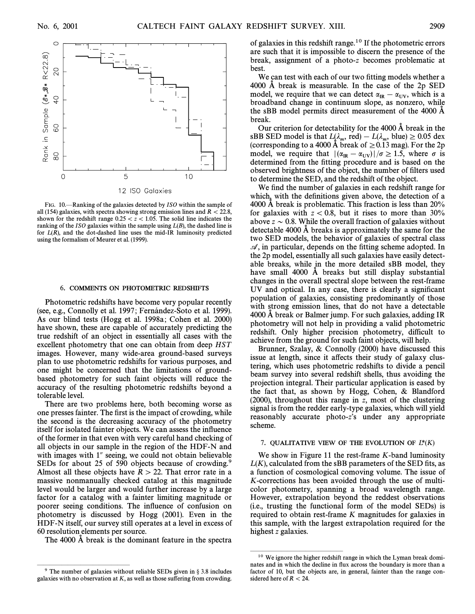![](_page_14_Figure_3.jpeg)

FIG. 10.<sup>-</sup>Ranking of the galaxies detected by ISO within the sample of all (154) galaxies, with spectra showing strong emission lines and  $R < 22.8$ , shown for the redshift range  $0.25 \lt z \lt 1.05$ . The solid line indicates the ranking of the ISO galaxies within the sample using  $L(B)$ , the dashed line is for  $L(R)$ , and the dot-dashed line uses the mid-IR luminosity predicted using the formalism of Meurer et al. (1999).

#### 6. COMMENTS ON PHOTOMETRIC REDSHIFTS

Photometric redshifts have become very popular recently (see, e.g., Connolly et al. 1997; Fernández-Soto et al. 1999). As our blind tests (Hogg et al. 1998a ; Cohen et al. 2000) have shown, these are capable of accurately predicting the true redshift of an object in essentially all cases with the excellent photometry that one can obtain from deep HST images. However, many wide-area ground-based surveys plan to use photometric redshifts for various purposes, and one might be concerned that the limitations of groundbased photometry for such faint objects will reduce the accuracy of the resulting photometric redshifts beyond a tolerable level.

There are two problems here, both becoming worse as one presses fainter. The first is the impact of crowding, while the second is the decreasing accuracy of the photometry itself for isolated fainter objects. We can assess the influence of the former in that even with very careful hand checking of all objects in our sample in the region of the HDF-N and with images with 1" seeing, we could not obtain believable SEDs for about 25 of 590 objects because of crowding.<sup>9</sup> Almost all these objects have  $R > 22$ . That error rate in a massive nonmanually checked catalog at this magnitude level would be larger and would further increase by a large factor for a catalog with a fainter limiting magnitude or poorer seeing conditions. The influence of confusion on photometry is discussed by Hogg (2001). Even in the HDF-N itself, our survey still operates at a level in excess of 60 resolution elements per source.

The 4000 A break is the dominant feature in the spectra

of galaxies in this redshift range. $10$  If the photometric errors are such that it is impossible to discern the presence of the break, assignment of a photo-z becomes problematic at **best** 

We can test with each of our two fitting models whether a 4000  $\AA$  break is measurable. In the case of the 2p SED model, we require that we can detect  $\alpha_{IR} - \alpha_{UV}$ , which is a honder of the product of the age nonzero, while broadband change in continuum slope, as nonzero, while the sBB model permits direct measurement of the 4000 A break.

Our criterion for detectability for the  $4000 \text{ Å}$  break in the sBB SED model is that  $L(\lambda_m, \text{ red}) - L(\lambda_m, \text{ blue}) \ge 0.05 \text{ dex}$ (corresponding to a 4000 Å break of  $\geq$  0.13 mag). For the 2p model, we require that  $|(\alpha_{\text{IR}} - \alpha_{\text{UV}})|/\sigma \ge 1.5$ , where  $\sigma$  is determined from the fitting procedure and is based on the determined from the fitting procedure and is based on the observed brightness of the object, the number of filters used to determine the SED, and the redshift of the object.

We find the number of galaxies in each redshift range for which, with the definitions given above, the detection of a 4000  $\AA$  break is problematic. This fraction is less than 20% for galaxies with  $z < 0.8$ , but it rises to more than 30% above  $z \sim 0.8$ . While the overall fraction of galaxies without detectable 4000  $\AA$  breaks is approximately the same for the two SED models, the behavior of galaxies of spectral class  $\mathcal{A}$ , in particular, depends on the fitting scheme adopted. In the 2p model, essentially all such galaxies have easily detectable breaks, while in the more detailed sBB model, they have small  $4000$  Å breaks but still display substantial changes in the overall spectral slope between the rest-frame UV and optical. In any case, there is clearly a significant population of galaxies, consisting predominantly of those with strong emission lines, that do not have a detectable  $4000$  Å break or Balmer jump. For such galaxies, adding IR photometry will not help in providing a valid photometric redshift. Only higher precision photometry, difficult to achieve from the ground for such faint objects, will help.

Brunner, Szalay, & Connolly (2000) have discussed this issue at length, since it affects their study of galaxy clustering, which uses photometric redshifts to divide a pencil beam survey into several redshift shells, thus avoiding the projection integral. Their particular application is eased by the fact that, as shown by Hogg, Cohen, & Blandford (2000), throughout this range in z, most of the clustering signal is from the redder early-type galaxies, which will yield reasonably accurate photo-z's under any appropriate scheme.

### 7. QUALITATIVE VIEW OF THE EVOLUTION OF  $L^*(K)$

We show in Figure 11 the rest-frame K-band luminosity  $L(K)$ , calculated from the sBB parameters of the SED fits, as a function of cosmological comoving volume. The issue of K-corrections has been avoided through the use of multicolor photometry, spanning a broad wavelength range. However, extrapolation beyond the reddest observations (i.e., trusting the functional form of the model SEDs) is required to obtain rest-frame K magnitudes for galaxies in this sample, with the largest extrapolation required for the highest z galaxies.

ÈÈÈÈÈÈÈÈÈÈÈÈÈÈÈ

ÈÈÈÈÈÈÈÈÈÈÈÈÈÈÈ  $9$  The number of galaxies without reliable SEDs given in  $\S 3.8$  includes galaxies with no observation at  $K$ , as well as those suffering from crowding.

 $10$  We ignore the higher redshift range in which the Lyman break dominates and in which the decline in Ñux across the boundary is more than a factor of 10, but the objects are, in general, fainter than the range considered here of  $R < 24$ .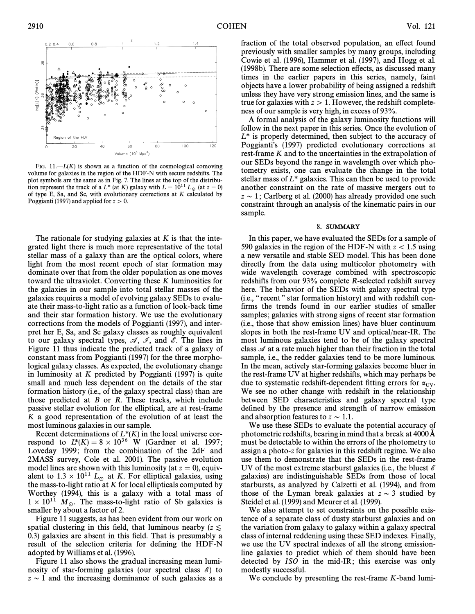![](_page_15_Figure_2.jpeg)

FIG.  $11 - L(K)$  is shown as a function of the cosmological comoving volume for galaxies in the region of the HDF-N with secure redshifts. The plot symbols are the same as in Fig. 7. The lines at the top of the distribution represent the track of a  $L^*$  (at K) galaxy with  $L = 10^{11} L_{\odot}$  (at  $z = 0$ ) of type E, Sa, and Sc, with evolutionary corrections at K calculated by Poggianti (1997) and applied for  $z > 0$ .

The rationale for studying galaxies at  $K$  is that the integrated light there is much more representative of the total stellar mass of a galaxy than are the optical colors, where light from the most recent epoch of star formation may dominate over that from the older population as one moves toward the ultraviolet. Converting these K luminosities for the galaxies in our sample into total stellar masses of the galaxies requires a model of evolving galaxy SEDs to evaluate their mass-to-light ratio as a function of look-back time and their star formation history. We use the evolutionary corrections from the models of Poggianti (1997), and interpret her E, Sa, and Sc galaxy classes as roughly equivalent to our galaxy spectral types,  $\mathcal{A}, \mathcal{I},$  and  $\mathcal{E}$ . The lines in Figure 11 thus indicate the predicted track of a galaxy of constant mass from Poggianti (1997) for the three morphological galaxy classes. As expected, the evolutionary change in luminosity at  $K$  predicted by Poggianti (1997) is quite small and much less dependent on the details of the star formation history (i.e., of the galaxy spectral class) than are those predicted at  $B$  or  $R$ . These tracks, which include passive stellar evolution for the elliptical, are at rest-frame K a good representation of the evolution of at least the most luminous galaxies in our sample.

Recent determinations of  $L^*(K)$  in the local universe correspond to  $L^*(K) = 8 \times 10^{36}$  W (Gardner et al. 1997; Loveday 1999; from the combination of the 2dF and 2MASS survey, Cole et al. 2001). The passive evolution model lines are shown with this luminosity (at  $z = 0$ ), equivalent to  $1.3 \times 10^{11}$  L<sub>o</sub> at K. For elliptical galaxies, using the mass-to-light ratio at  $K$  for local ellipticals computed by Worthey (1994), this is a galaxy with a total mass of  $1 \times 10^{11}$  M<sub>o</sub>. The mass-to-light ratio of Sb galaxies is smaller by about a factor of 2.

Figure 11 suggests, as has been evident from our work on spatial clustering in this field, that luminous nearby ( $z \leq$ 0.3) galaxies are absent in this field. That is presumably a result of the selection criteria for defining the HDF-N adopted by Williams et al. (1996).

Figure 11 also shows the gradual increasing mean luminosity of star-forming galaxies (our spectral class  $\mathscr{E}$ ) to  $z \sim 1$  and the increasing dominance of such galaxies as a

fraction of the total observed population, an effect found previously with smaller samples by many groups, including Cowie et al. (1996), Hammer et al. (1997), and Hogg et al. (1998b). There are some selection e†ects, as discussed many times in the earlier papers in this series, namely, faint objects have a lower probability of being assigned a redshift unless they have very strong emission lines, and the same is true for galaxies with  $z > 1$ . However, the redshift completeness of our sample is very high, in excess of 93%.

A formal analysis of the galaxy luminosity functions will follow in the next paper in this series. Once the evolution of  $L^*$  is properly determined, then subject to the accuracy of Poggianti's (1997) predicted evolutionary corrections at rest-frame K and to the uncertainties in the extrapolation of our SEDs beyond the range in wavelength over which photometry exists, one can evaluate the change in the total stellar mass of  $L^*$  galaxies. This can then be used to provide another constraint on the rate of massive mergers out to  $z \sim 1$ ; Carlberg et al. (2000) has already provided one such constraint through an analysis of the kinematic pairs in our sample.

#### 8. SUMMARY

In this paper, we have evaluated the SEDs for a sample of 590 galaxies in the region of the HDF-N with  $z < 1.5$  using a new versatile and stable SED model. This has been done directly from the data using multicolor photometry with wide wavelength coverage combined with spectroscopic redshifts from our 93% complete R-selected redshift survey here. The behavior of the SEDs with galaxy spectral type (i.e., "recent" star formation history) and with redshift confirms the trends found in our earlier studies of smaller samples; galaxies with strong signs of recent star formation (i.e., those that show emission lines) have bluer continuum slopes in both the rest-frame UV and optical/near-IR. The most luminous galaxies tend to be of the galaxy spectral class  $\mathscr A$  at a rate much higher than their fraction in the total sample, i.e., the redder galaxies tend to be more luminous. In the mean, actively star-forming galaxies become bluer in the rest-frame UV at higher redshifts, which may perhaps be due to systematic redshift-dependent fitting errors for  $\alpha_{\text{UV}}$ .<br>We see no other change with redshift in the relationship We see no other change with redshift in the relationship between SED characteristics and galaxy spectral type defined by the presence and strength of narrow emission and absorption features to  $z \sim 1.1$ .

We use these SEDs to evaluate the potential accuracy of photometric redshifts, bearing in mind that a break at 4000 A must be detectable to within the errors of the photometry to assign a photo-z for galaxies in this redshift regime. We also use them to demonstrate that the SEDs in the rest-frame UV of the most extreme starburst galaxies (i.e., the bluest  $\mathscr E$ galaxies) are indistinguishable SEDs from those of local starbursts, as analyzed by Calzetti et al. (1994), and from those of the Lyman break galaxies at  $z \sim 3$  studied by Steidel et al. (1999) and Meurer et al. (1999).

We also attempt to set constraints on the possible existence of a separate class of dusty starburst galaxies and on the variation from galaxy to galaxy within a galaxy spectral class of internal reddening using these SED indexes. Finally, we use the UV spectral indexes of all the strong emissionline galaxies to predict which of them should have been detected by ISO in the mid-IR; this exercise was only modestly successful.

We conclude by presenting the rest-frame K-band lumi-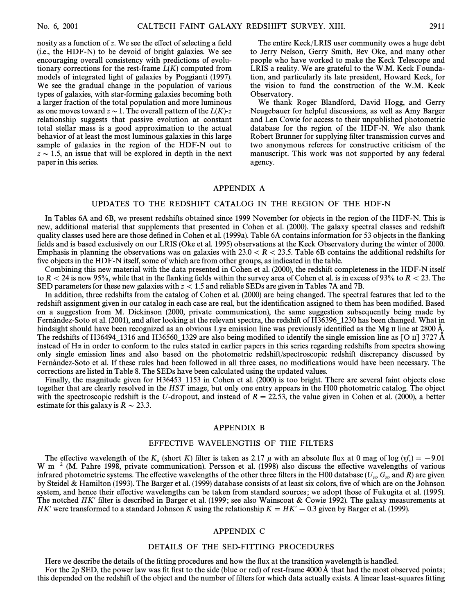nosity as a function of z. We see the effect of selecting a field (i.e., the HDF-N) to be devoid of bright galaxies. We see encouraging overall consistency with predictions of evolutionary corrections for the rest-frame  $L(K)$  computed from models of integrated light of galaxies by Poggianti (1997). We see the gradual change in the population of various types of galaxies, with star-forming galaxies becoming both a larger fraction of the total population and more luminous as one moves toward  $z \sim 1$ . The overall pattern of the  $L (K)-z$ relationship suggests that passive evolution at constant total stellar mass is a good approximation to the actual behavior of at least the most luminous galaxies in this large sample of galaxies in the region of the HDF-N out to  $z \sim 1.5$ , an issue that will be explored in depth in the next paper in this series.

The entire Keck/LRIS user community owes a huge debt to Jerry Nelson, Gerry Smith, Bev Oke, and many other people who have worked to make the Keck Telescope and LRIS a reality. We are grateful to the W.M. Keck Foundation, and particularly its late president, Howard Keck, for the vision to fund the construction of the W.M. Keck Observatory.

We thank Roger Blandford, David Hogg, and Gerry Neugebauer for helpful discussions, as well as Amy Barger and Len Cowie for access to their unpublished photometric database for the region of the HDF-N. We also thank Robert Brunner for supplying filter transmission curves and two anonymous referees for constructive criticism of the manuscript. This work was not supported by any federal agency.

## APPENDIX A

## UPDATES TO THE REDSHIFT CATALOG IN THE REGION OF THE HDF-N

In Tables 6A and 6B, we present redshifts obtained since 1999 November for objects in the region of the HDF-N. This is new, additional material that supplements that presented in Cohen et al. (2000). The galaxy spectral classes and redshift quality classes used here are those defined in Cohen et al. (1999a). Table 6A contains information for 53 objects in the flanking fields and is based exclusively on our LRIS (Oke et al. 1995) observations at the Keck Observatory during the winter of 2000. Emphasis in planning the observations was on galaxies with  $23.0 \lt R \lt 23.5$ . Table 6B contains the additional redshifts for five objects in the HDF-N itself, some of which are from other groups, as indicated in the table.

Combining this new material with the data presented in Cohen et al. (2000), the redshift completeness in the HDF-N itself to  $R<$  24 is now 95%, while that in the flanking fields within the survey area of Cohen et al. is in excess of 93% to  $R<$  23. The SED parameters for these new galaxies with  $z < 1.5$  and reliable SEDs are given in Tables 7A and 7B.

In addition, three redshifts from the catalog of Cohen et al. (2000) are being changed. The spectral features that led to the redshift assignment given in our catalog in each case are real, but the identification assigned to them has been modified. Based on a suggestion from M. Dickinson (2000, private communication), the same suggestion subsequently being made by Fernandez-Soto et al. (2001), and after looking at the relevant spectra, the redshift of H36396\_1230 has been changed. What in hindsight should have been recognized as an obvious Ly $\alpha$  emission line was previously identified as the Mg II line at 2800 Å. The redshifts of H36494\_1316 and H36560\_1329 are also being modified to identify the single emission line as [O II] 3727  $\AA$ instead of  $H\alpha$  in order to conform to the rules stated in earlier papers in this series regarding redshifts from spectra showing only single emission lines and also based on the photometric redshift/spectroscopic redshift discrepancy discussed by Fernández-Soto et al. If these rules had been followed in all three cases, no modifications would have been necessary. The corrections are listed in Table 8. The SEDs have been calculated using the updated values.

Finally, the magnitude given for H36453–1153 in Cohen et al. (2000) is too bright. There are several faint objects close together that are clearly resolved in the HST image, but only one entry appears in the H00 photometric catalog. The object with the spectroscopic redshift is the U-dropout, and instead of  $R = 22.53$ , the value given in Cohen et al. (2000), a better estimate for this galaxy is  $R \sim 23.3$ .

### APPENDIX B

## EFFECTIVE WAVELENGTHS OF THE FILTERS

The effective wavelength of the  $K_s$  (short K) filter is taken as 2.17  $\mu$  with an absolute flux at 0 mag of log  $(y_x^r) = -9.01$ <br> $m^{-2}$  (M. Pabre 1998, private communication). Persson et al. (1998) also discuss the effecti W m<sup>-2</sup> (M. Pahre 1998, private communication). Persson et al. (1998) also discuss the effective wavelengths of various infrared photometric systems. The effective wavelengths of the other three filters in the H00 database  $(U_n, G_n)$  and R) are given<br>by Steidal & Hamilton (1993). The Barger et al. (1999) database consists of at least six col by Steidel & Hamilton (1993). The Barger et al. (1999) database consists of at least six colors, five of which are on the Johnson system, and hence their effective wavelengths can be taken from standard sources; we adopt those of Fukugita et al. (1995). The notched HK' filter is described in Barger et al. (1999; see also Wainscoat & Cowie 1992). The galaxy measurements at HK' were transformed to a standard Johnson K using the relationship  $K = HK' - 0.3$  given by Barger et al. (1999).

## APPENDIX C

## DETAILS OF THE SED-FITTING PROCEDURES

Here we describe the details of the fitting procedures and how the flux at the transition wavelength is handled. For the 2p SED, the power law was fit first to the side (blue or red) of rest-frame  $4000\text{\AA}$  that had the most observed points; this depended on the redshift of the object and the number of filters for which data actually exists. A linear least-squares fitting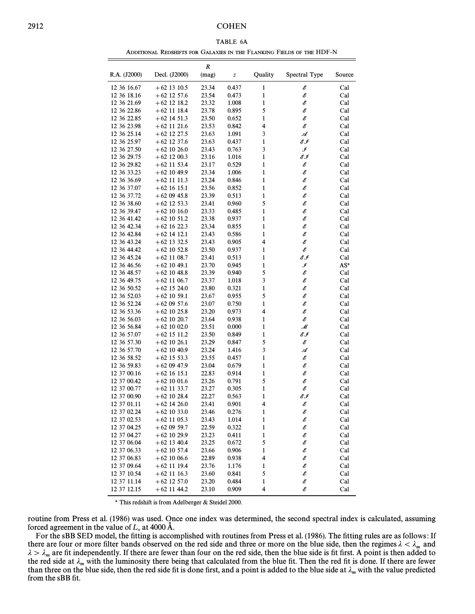## 2912 COHEN

| A BL<br>nа |
|------------|
|------------|

| Additional Redshifts for Galaxies in the Flanking Fields of the HDF-N |  |
|-----------------------------------------------------------------------|--|
|-----------------------------------------------------------------------|--|

|                            |                 | R     |       |                                            |               |        |
|----------------------------|-----------------|-------|-------|--------------------------------------------|---------------|--------|
| R.A. (J2000)               | Decl. (J2000)   | (mag) | z     | Quality                                    | Spectral Type | Source |
| 12 36 16.67                | $+62$ 13 10.5   | 23.34 | 0.437 | $\mathbf{1}$                               | Е             | Cal    |
| 12 36 18.16                | $+62$ 12 57.6   | 23.54 | 0.473 | $\mathbf{1}$                               | E             | Cal    |
| 12 36 21.69                | $+62$ 12 18.2   | 23.32 | 1.008 | $\mathbf{1}$                               | E             | Cal    |
| 12 36 22.86                | $+62$ 11 18.4   | 23.78 | 0.895 | 5                                          | E             | Cal    |
| 12 36 22.85                | $+62$ 14 51.3   | 23.50 | 0.652 | 1                                          | E             | Cal    |
| 12 36 23.98                | $+62$ 11 21.6   | 23.53 | 0.842 | 4                                          | E             | Cal    |
| 12 36 25.14                | $+62$ 12 27.5   | 23.63 | 1.091 | 3                                          | A             | Cal    |
| 12 36 25.97                | $+62$ 12 37.6   | 23.63 | 0.437 | 1                                          | EI            | Cal    |
| 12 36 27.50                | $+62\;10\;26.0$ | 23.43 | 0.763 | 3                                          | ℐ             | Cal    |
| 12 36 29.75                | $+62$ 12 00.3   | 23.16 | 1.016 | 1                                          | EI            | Cal    |
| 12 36 29.82                | $+62$ 11 53.4   | 23.17 | 0.529 | 1                                          | E             | Cal    |
| 12 36 33.23                | $+62$ 10 49.9   | 23.34 | 1.006 | $\mathbf{1}$                               | E             | Cal    |
| 12 36 36.69                | $+62$ 11 11.3   | 23.24 | 0.846 | $\mathbf{1}$                               | E             | Cal    |
| 12 36 37.07                | $+62\;16\;15.1$ | 23.56 | 0.852 | 1                                          | E             | Cal    |
| 12 36 37.72                | $+620945.8$     | 23.39 | 0.513 | $\mathbf{1}$                               | E             | Cal    |
| 12 36 38.60                | $+62$ 12 53.3   | 23.41 | 0.960 | 5                                          | E             | Cal    |
| 12 36 39.47                | $+62\;10\;16.0$ | 23.33 | 0.485 | 1                                          | E             | Cal    |
| 12 36 41.42                | $+62$ 10 51.2   | 23.38 | 0.937 | $\mathbf{1}$                               | E             | Cal    |
| 12 36 42.34                | $+62$ 16 22.3   | 23.34 | 0.855 | $\mathbf{1}$                               | E             | Cal    |
| 12 36 42.84                | $+62$ 14 12.1   | 23.43 | 0.586 | 1                                          | E             | Cal    |
| 12 36 43.24                | $+62$ 13 32.5   | 23.43 | 0.905 | 4                                          | E             | Cal    |
| 12 36 44.42                | $+62$ 10 52.8   | 23.50 | 0.937 | 1                                          | Е             | Cal    |
| 12 36 45.24                | $+62$ 11 08.7   | 23.41 | 0.513 | 1                                          | EI            | Cal    |
| 12 36 46.56                | $+62$ 10 49.1   | 23.70 | 0.945 | $\mathbf{1}$                               | $\mathscr I$  | $AS^a$ |
| 12 36 48.57                | $+62$ 10 48.8   | 23.39 | 0.940 | 5                                          | E             | Cal    |
| 12 36 49.75                | $+62$ 11 06.7   | 23.37 | 1.018 | 3                                          | E             | Cal    |
| 12 36 50.52                | $+62$ 15 24.0   | 23.80 | 0.321 | $\mathbf{1}$                               | E             | Cal    |
| 12 36 52.03                | $+62$ 10 59.1   | 23.67 | 0.955 | 5                                          | E             | Cal    |
| 12 36 52.24                | $+620957.6$     | 23.07 | 0.750 | $\mathbf{1}$                               | E             | Cal    |
| 12 36 53.36                | $+62$ 10 25.8   | 23.20 | 0.973 | 4                                          | E             | Cal    |
| 12 36 56.03                | $+62$ 10 20.7   | 23.64 | 0.938 | 1                                          | E             | Cal    |
| 12 36 56.84                | $+62$ 10 02.0   | 23.51 | 0.000 | $\mathbf{1}$                               | М             | Cal    |
| 12 36 57.07                | $+62$ 15 11.2   | 23.50 | 0.849 | $\mathbf{1}$                               | EI            | Cal    |
| 12 36 57.30                | $+62$ 10 26.1   | 23.29 | 0.847 | 5                                          | Е             | Cal    |
| 12 36 57.70                | $+62$ 10 40.9   | 23.24 | 1.416 | 3                                          |               | Cal    |
| 12 36 58.52                | $+62$ 15 53.3   | 23.55 | 0.457 | 1                                          | ℐ<br>Е        | Cal    |
| 12 36 59.83                | $+620947.9$     | 23.04 | 0.679 | 1                                          | E             | Cal    |
| 12 37 00.16                | $+62\;16\;15.1$ | 22.83 | 0.914 | $\mathbf{1}$                               | E             | Cal    |
| 12 37 00.42                | $+62$ 10 01.6   | 23.26 | 0.791 | 5                                          | Е             | Cal    |
| 12 37 00.77                | $+62$ 11 33.7   | 23.27 |       | $\mathbf{1}$                               | E             | Cal    |
|                            |                 |       | 0.305 | $\mathbf{1}$                               |               |        |
| 12 37 00.90                | $+62$ 10 28.4   | 22.27 | 0.563 | 4                                          | EI            | Cal    |
| 12 37 01.11                | $+62$ 14 26.0   | 23.41 | 0.901 |                                            | Е             | Cal    |
| 12 37 02.24<br>12 37 02.53 | $+62$ 10 33.0   | 23.46 | 0.276 | 1                                          | E             | Cal    |
|                            | $+62$ 11 05.3   | 23.43 | 1.014 | $\mathbf{1}$                               | 6             | Cal    |
| 12 37 04.25                | $+62$ 09 59.7   | 22.59 | 0.322 | $\mathbf{1}% _{T}\left( \mathbf{1}\right)$ | E             | Cal    |
| 12 37 04.27                | $+62$ 10 29.9   | 23.23 | 0.411 | $\mathbf{1}$                               | E             | Cal    |
| 12 37 06.04                | $+62$ 13 40.4   | 23.25 | 0.672 | 5                                          | E             | Cal    |
| 12 37 06.33                | $+62$ 10 57.4   | 23.66 | 0.906 | 1                                          | E             | Cal    |
| 12 37 06.83                | $+62$ 10 06.6   | 22.89 | 0.938 | 4                                          | E             | Cal    |
| 12 37 09.64                | $+62$ 11 19.4   | 23.76 | 1.176 | 1                                          | E             | Cal    |
| 12 37 10.54                | $+62$ 11 16.3   | 23.60 | 0.841 | 5                                          | E             | Cal    |
| 12 37 11.14                | $+62$ 12 57.0   | 23.20 | 0.484 | 1                                          | E             | Cal    |
| 12 37 12.15                | $+62$ 11 44.2   | 23.10 | 0.909 | 4                                          | E             | Cal    |

a This redshift is from Adelberger & Steidel 2000.

routine from Press et al. (1986) was used. Once one index was determined, the second spectral index is calculated, assuming forced agreement in the value of  $L<sub>v</sub>$  at 4000 Å.

For the sBB SED model, the fitting is accomplished with routines from Press et al. (1986). The fitting rules are as follows: If there are four or more filter bands observed on the red side and three or more on the blue side, then the regimes  $\lambda < \lambda_m$  and  $\lambda > \lambda_m$  are fit independently. If there are fewer than four on the red side, then the blue si than three on the blue side, then the red side fit is done first, and a point is added to the blue side at  $\lambda_m$  with the value predicted than three on the blue side, then the red side fit is done first, and a point is ad than three on the state, then the red state in is done inst, and a point is added to the state side at  $n_m$  from the sBB fit.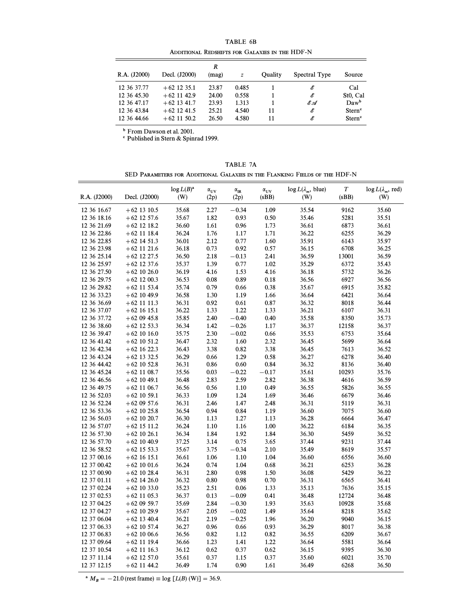|              |               |            | IABLE 0B |                                                |               |                       |
|--------------|---------------|------------|----------|------------------------------------------------|---------------|-----------------------|
|              |               |            |          | ADDITIONAL REDSHIFTS FOR GALAXIES IN THE HDF-N |               |                       |
| R.A. (J2000) | Decl. (J2000) | R<br>(mag) | z        | Ouality                                        | Spectral Type | Source                |
| 12 36 37.77  | $+62$ 12 35.1 | 23.87      | 0.485    |                                                | E             | Cal                   |
| 12 36 45.30  | $+62$ 11 42.9 | 24.00      | 0.558    |                                                | E             | St <sub>0</sub> , Cal |
| 12 36 47.17  | $+62$ 13 41.7 | 23.93      | 1.313    |                                                | E.A           | $Daw^b$               |
| 12 36 43.84  | $+62$ 12 41.5 | 25.21      | 4.540    | 11                                             | E             | Stern <sup>c</sup>    |
| 12 36 44.66  | $+62$ 11 50.2 | 26.50      | 4.580    | 11                                             | Е             | Stern <sup>c</sup>    |

TABLE 6B

b From Dawson et al. 2001.

c Published in Stern & Spinrad 1999.

TABLE 7A SED PARAMETERS FOR ADDITIONAL GALAXIES IN THE FLANKING FIELDS OF THE HDF-N

| R.A. (J2000)               | Decl. (J2000)                  | $log L(B)^a$<br>(W) | $\alpha_{\text{UV}}$<br>(2p) | $\alpha_{\rm IR}$<br>(2p) | $\alpha_{\rm UV}$<br>(sBB) | $\log L(\lambda_m, \text{ blue})$<br>(W) | $\boldsymbol{T}$<br>(sBB) | $\log L(\lambda_m, \text{red})$<br>(W) |
|----------------------------|--------------------------------|---------------------|------------------------------|---------------------------|----------------------------|------------------------------------------|---------------------------|----------------------------------------|
| 12 36 16.67                | $+62$ 13 10.5                  | 35.68               | 2.27                         | $-0.34$                   | 1.09                       | 35.54                                    | 9162                      | 35.60                                  |
| 12 36 18.16                | $+62$ 12 57.6                  | 35.67               | 1.82                         | 0.93                      | 0.50                       | 35.46                                    | 5281                      | 35.51                                  |
| 12 36 21.69                | $+62$ 12 18.2                  | 36.60               | 1.61                         | 0.96                      | 1.73                       | 36.61                                    | 6873                      | 36.61                                  |
| 12 36 22.86                | $+62$ 11 18.4                  | 36.24               | 1.76                         | 1.17                      | 1.71                       | 36.22                                    | 6255                      | 36.29                                  |
| 12 36 22.85                | $+62$ 14 51.3                  | 36.01               | 2.12                         | 0.77                      | 1.60                       | 35.91                                    | 6143                      | 35.97                                  |
| 12 36 23.98                | $+62$ 11 21.6                  | 36.18               | 0.73                         | 0.92                      | 0.57                       | 36.15                                    | 6708                      | 36.25                                  |
| 12 36 25.14                | $+62$ 12 27.5                  | 36.50               | 2.18                         | $-0.13$                   | 2.41                       | 36.59                                    | 13001                     | 36.59                                  |
| 12 36 25.97                | $+62$ 12 37.6                  | 35.37               | 1.39                         | 0.77                      | 1.02                       | 35.29                                    | 6372                      | 35.43                                  |
| 12 36 27.50                | $+62$ 10 26.0                  | 36.19               | 4.16                         | 1.53                      | 4.16                       | 36.18                                    | 5732                      | 36.26                                  |
| 12 36 29.75                | $+62$ 12 00.3                  | 36.53               | 0.08                         | 0.89                      | 0.18                       | 36.56                                    | 6927                      | 36.56                                  |
| 12 36 29.82                | $+62$ 11 53.4                  | 35.74               | 0.79                         | 0.66                      | 0.38                       | 35.67                                    | 6915                      | 35.82                                  |
| 12 36 33.23                | $+62$ 10 49.9                  | 36.58               | 1.30                         | 1.19                      | 1.66                       | 36.64                                    | 6421                      | 36.64                                  |
| 12 36 36.69                | $+62$ 11 11.3                  | 36.31               | 0.92                         | 0.61                      | 0.87                       | 36.32                                    | 8018                      | 36.44                                  |
| 12 36 37.07                | $+62$ 16 15.1                  | 36.22               | 1.33                         | 1.22                      | 1.33                       | 36.21                                    | 6107                      | 36.31                                  |
| 12 36 37.72                | $+620945.8$                    | 35.85               | 2.40                         | $-0.40$                   | 0.40                       | 35.58                                    | 8350                      | 35.73                                  |
| 12 36 38.60                | $+62$ 12 53.3                  | 36.34               | 1.42                         | $-0.26$                   | 1.17                       | 36.37                                    | 12158                     | 36.37                                  |
| 12 36 39.47                | $+62$ 10 16.0                  | 35.75               | 2.30                         | $-0.02$                   | 0.66                       | 35.53                                    | 6753                      | 35.64                                  |
| 12 36 41.42                | $+62$ 10 51.2                  | 36.47               | 2.32                         | 1.60                      | 2.32                       | 36.45                                    | 5699                      | 36.64                                  |
| 12 36 42.34                | $+62$ 16 22.3                  | 36.43               | 3.38                         | 0.82                      | 3.38                       | 36.45                                    | 7613                      | 36.52                                  |
| 12 36 43.24                | $+62$ 13 32.5                  | 36.29               | 0.66                         | 1.29                      | 0.58                       | 36.27                                    | 6278                      | 36.40                                  |
| 12 36 44.42                | $+62$ 10 52.8                  | 36.31               | 0.86                         | 0.60                      | 0.84                       | 36.32                                    | 8136                      | 36.40                                  |
| 12 36 45.24                | $+62$ 11 08.7                  | 35.56               | 0.03                         | $-0.22$                   | $^{ -0.17}$                | 35.61                                    | 10293                     | 35.76                                  |
| 12 36 46.56                | $+62$ 10 49.1                  | 36.48               | 2.83                         | 2.59                      | 2.82                       | 36.38                                    | 4616                      | 36.59                                  |
| 12 36 49.75                | $+62$ 11 06.7                  | 36.56               | 0.56                         | 1.10                      | 0.49                       | 36.55                                    | 5826                      | 36.55                                  |
| 12 36 52.03                | $+62$ 10 59.1                  | 36.33               | 1.09                         | 1.24                      | 1.69                       | 36.46                                    | 6679                      | 36.46                                  |
| 12 36 52.24                | $+620957.6$                    | 36.31               | 2.46                         | 1.47                      | 2.48                       | 36.31                                    | 5119                      | 36.31                                  |
| 12 36 53.36                | $+62$ 10 25.8                  | 36.54               | 0.94                         | 0.84                      | 1.19                       | 36.60                                    | 7075                      | 36.60                                  |
| 12 36 56.03                | $+62$ 10 20.7                  | 36.30               | 1.13                         | 1.27                      | 1.13                       | 36.28                                    | 6664                      | 36.47                                  |
| 12 36 57.07                | $+62$ 15 11.2                  | 36.24               | 1.10                         | 1.16                      | 1.00                       | 36.22                                    | 6184                      | 36.35                                  |
| 12 36 57.30                | $+62$ 10 26.1                  | 36.34               | 1.84                         | 1.92                      | 1.84                       | 36.30                                    | 5459                      | 36.52                                  |
| 12 36 57.70                |                                |                     | 3.14                         |                           | 3.65                       | 37.44                                    | 9231                      | 37.44                                  |
|                            | $+62$ 10 40.9                  | 37.25               |                              | 0.75                      |                            |                                          |                           |                                        |
| 12 36 58.52<br>12 37 00.16 | $+62$ 15 53.3                  | 35.67<br>36.61      | 3.75<br>1.06                 | $-0.34$<br>1.10           | 2.10<br>1.04               | 35.49<br>36.60                           | 8619<br>6556              | 35.57                                  |
| 12 37 00.42                | $+62$ 16 15.1<br>$+62$ 10 01.6 | 36.24               | 0.74                         | 1.04                      | 0.68                       | 36.21                                    | 6253                      | 36.60<br>36.28                         |
| 12 37 00.90                | $+62$ 10 28.4                  | 36.31               | 2.80                         | 0.98                      | 1.50                       | 36.08                                    | 5429                      | 36.22                                  |
|                            |                                | 36.32               |                              | 0.98                      | 0.70                       |                                          |                           |                                        |
| 12 37 01.11<br>12 37 02.24 | $+62$ 14 26.0                  | 35.23               | 0.80<br>2.51                 | 0.06                      | 1.33                       | 36.31<br>35.13                           | 6565<br>7636              | 36.41<br>35.15                         |
|                            | $+62$ 10 33.0                  |                     |                              |                           |                            |                                          |                           |                                        |
| 12 37 02.53                | $+62$ 11 05.3                  | 36.37               | 0.13                         | $-0.09$                   | 0.41                       | 36.48                                    | 12724                     | 36.48                                  |
| 12 37 04.25                | $+620959.7$                    | 35.69               | 2.84                         | $-0.30$                   | 1.93                       | 35.63                                    | 10928                     | 35.68                                  |
| 12 37 04.27                | $+62$ 10 29.9                  | 35.67               | 2.05                         | $-0.02$                   | 1.49<br>1.96               | 35.64                                    | 8218                      | 35.62                                  |
| 12 37 06.04                | $+62$ 13 40.4                  | 36.21<br>36.27      | 2.19<br>0.96                 | $-0.25$                   |                            | 36.20<br>36.29                           | 9040                      | 36.15                                  |
| 12 37 06.33                | $+62$ 10 57.4                  |                     |                              | 0.66                      | 0.93                       |                                          | 8017                      | 36.38                                  |
| 12 37 06.83                | $+62$ 10 06.6                  | 36.56               | 0.82                         | 1.12                      | 0.82                       | 36.55                                    | 6209                      | 36.67                                  |
| 12 37 09.64                | $+62$ 11 19.4                  | 36.66               | 1.23                         | 1.41                      | 1.22                       | 36.64                                    | 5581                      | 36.64                                  |
| 12 37 10.54                | $+62$ 11 16.3                  | 36.12               | 0.62                         | 0.37                      | 0.62                       | 36.15                                    | 9395                      | 36.30                                  |
| 12 37 11.14                | $+62$ 12 57.0                  | 35.61               | 0.37                         | 1.15                      | 0.37                       | 35.60                                    | 6021                      | 35.70                                  |
| 12 37 12.15                | $+62$ 11 44.2                  | 36.49               | 1.74                         | 0.90                      | 1.61                       | 36.49                                    | 6268                      | 36.50                                  |

<sup>a</sup>  $M_B = -21.0$  (rest frame)  $\equiv \log [L(B) (W)] = 36.9.$